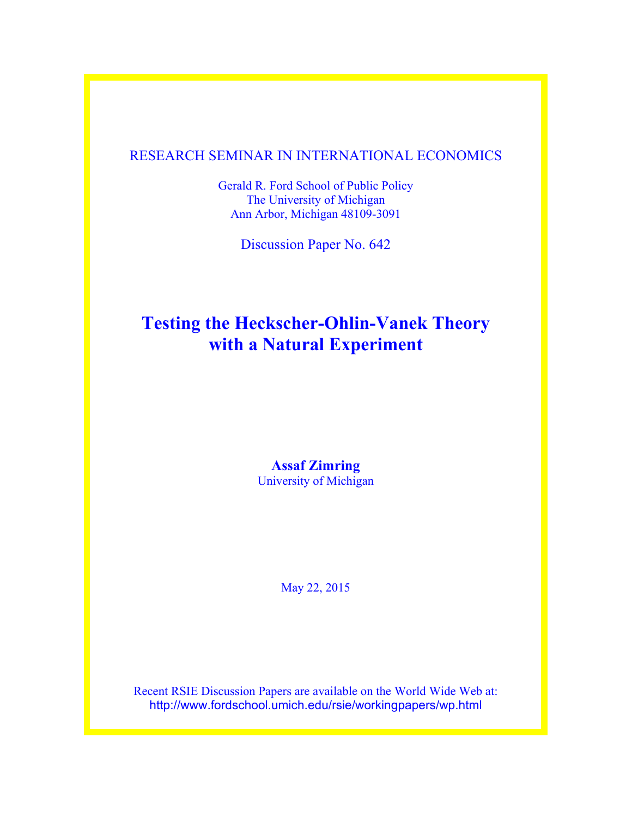### RESEARCH SEMINAR IN INTERNATIONAL ECONOMICS

Gerald R. Ford School of Public Policy The University of Michigan Ann Arbor, Michigan 48109-3091

Discussion Paper No. 642

## **Testing the Heckscher-Ohlin-Vanek Theory with a Natural Experiment**

#### **Assaf Zimring** University of Michigan

May 22, 2015

Recent RSIE Discussion Papers are available on the World Wide Web at: http://www.fordschool.umich.edu/rsie/workingpapers/wp.html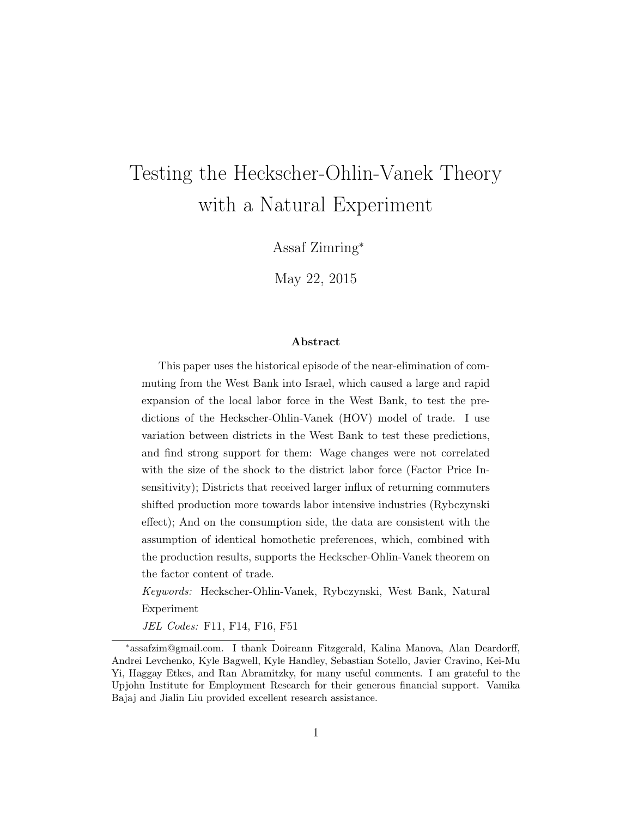# Testing the Heckscher-Ohlin-Vanek Theory with a Natural Experiment

Assaf Zimring<sup>∗</sup>

May 22, 2015

#### Abstract

This paper uses the historical episode of the near-elimination of commuting from the West Bank into Israel, which caused a large and rapid expansion of the local labor force in the West Bank, to test the predictions of the Heckscher-Ohlin-Vanek (HOV) model of trade. I use variation between districts in the West Bank to test these predictions, and find strong support for them: Wage changes were not correlated with the size of the shock to the district labor force (Factor Price Insensitivity); Districts that received larger influx of returning commuters shifted production more towards labor intensive industries (Rybczynski effect); And on the consumption side, the data are consistent with the assumption of identical homothetic preferences, which, combined with the production results, supports the Heckscher-Ohlin-Vanek theorem on the factor content of trade.

Keywords: Heckscher-Ohlin-Vanek, Rybczynski, West Bank, Natural Experiment

JEL Codes: F11, F14, F16, F51

<sup>∗</sup>assafzim@gmail.com. I thank Doireann Fitzgerald, Kalina Manova, Alan Deardorff, Andrei Levchenko, Kyle Bagwell, Kyle Handley, Sebastian Sotello, Javier Cravino, Kei-Mu Yi, Haggay Etkes, and Ran Abramitzky, for many useful comments. I am grateful to the Upjohn Institute for Employment Research for their generous financial support. Vamika Bajaj and Jialin Liu provided excellent research assistance.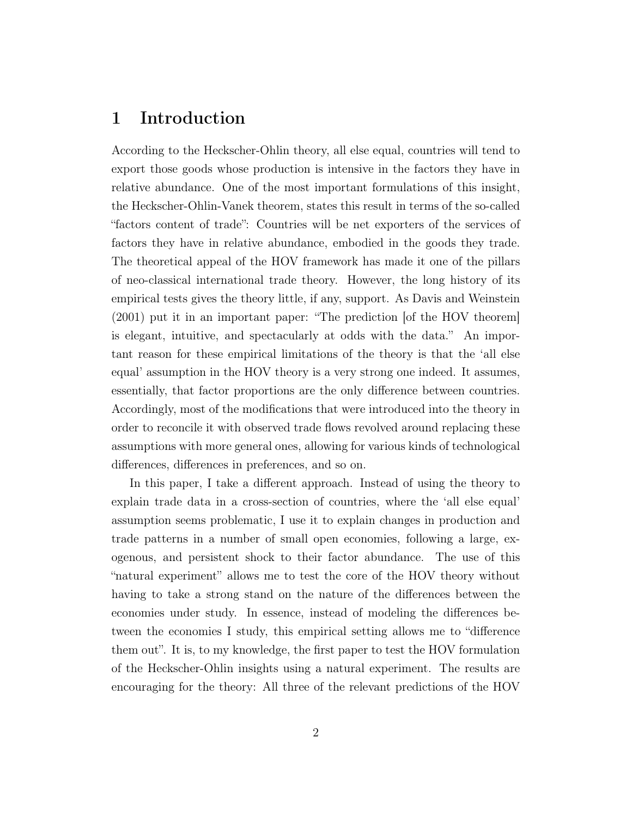## 1 Introduction

According to the Heckscher-Ohlin theory, all else equal, countries will tend to export those goods whose production is intensive in the factors they have in relative abundance. One of the most important formulations of this insight, the Heckscher-Ohlin-Vanek theorem, states this result in terms of the so-called "factors content of trade": Countries will be net exporters of the services of factors they have in relative abundance, embodied in the goods they trade. The theoretical appeal of the HOV framework has made it one of the pillars of neo-classical international trade theory. However, the long history of its empirical tests gives the theory little, if any, support. As Davis and Weinstein (2001) put it in an important paper: "The prediction [of the HOV theorem] is elegant, intuitive, and spectacularly at odds with the data." An important reason for these empirical limitations of the theory is that the 'all else equal' assumption in the HOV theory is a very strong one indeed. It assumes, essentially, that factor proportions are the only difference between countries. Accordingly, most of the modifications that were introduced into the theory in order to reconcile it with observed trade flows revolved around replacing these assumptions with more general ones, allowing for various kinds of technological differences, differences in preferences, and so on.

In this paper, I take a different approach. Instead of using the theory to explain trade data in a cross-section of countries, where the 'all else equal' assumption seems problematic, I use it to explain changes in production and trade patterns in a number of small open economies, following a large, exogenous, and persistent shock to their factor abundance. The use of this "natural experiment" allows me to test the core of the HOV theory without having to take a strong stand on the nature of the differences between the economies under study. In essence, instead of modeling the differences between the economies I study, this empirical setting allows me to "difference them out". It is, to my knowledge, the first paper to test the HOV formulation of the Heckscher-Ohlin insights using a natural experiment. The results are encouraging for the theory: All three of the relevant predictions of the HOV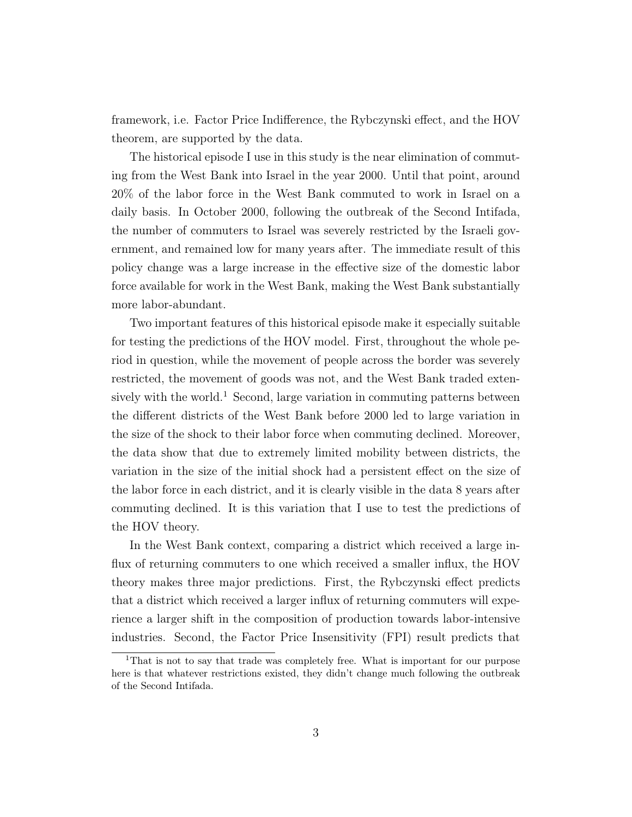framework, i.e. Factor Price Indifference, the Rybczynski effect, and the HOV theorem, are supported by the data.

The historical episode I use in this study is the near elimination of commuting from the West Bank into Israel in the year 2000. Until that point, around 20% of the labor force in the West Bank commuted to work in Israel on a daily basis. In October 2000, following the outbreak of the Second Intifada, the number of commuters to Israel was severely restricted by the Israeli government, and remained low for many years after. The immediate result of this policy change was a large increase in the effective size of the domestic labor force available for work in the West Bank, making the West Bank substantially more labor-abundant.

Two important features of this historical episode make it especially suitable for testing the predictions of the HOV model. First, throughout the whole period in question, while the movement of people across the border was severely restricted, the movement of goods was not, and the West Bank traded extensively with the world.<sup>1</sup> Second, large variation in commuting patterns between the different districts of the West Bank before 2000 led to large variation in the size of the shock to their labor force when commuting declined. Moreover, the data show that due to extremely limited mobility between districts, the variation in the size of the initial shock had a persistent effect on the size of the labor force in each district, and it is clearly visible in the data 8 years after commuting declined. It is this variation that I use to test the predictions of the HOV theory.

In the West Bank context, comparing a district which received a large influx of returning commuters to one which received a smaller influx, the HOV theory makes three major predictions. First, the Rybczynski effect predicts that a district which received a larger influx of returning commuters will experience a larger shift in the composition of production towards labor-intensive industries. Second, the Factor Price Insensitivity (FPI) result predicts that

<sup>1</sup>That is not to say that trade was completely free. What is important for our purpose here is that whatever restrictions existed, they didn't change much following the outbreak of the Second Intifada.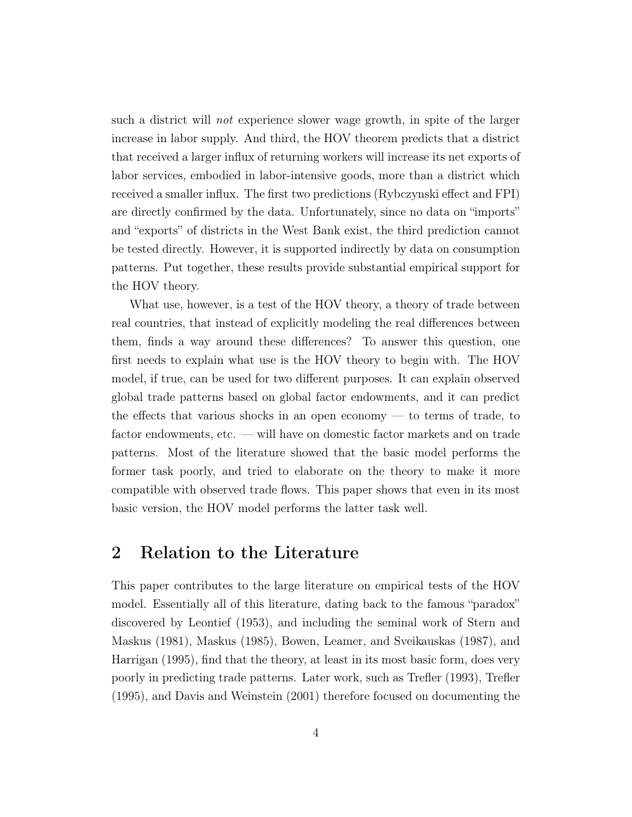such a district will not experience slower wage growth, in spite of the larger increase in labor supply. And third, the HOV theorem predicts that a district that received a larger influx of returning workers will increase its net exports of labor services, embodied in labor-intensive goods, more than a district which received a smaller influx. The first two predictions (Rybczynski effect and FPI) are directly confirmed by the data. Unfortunately, since no data on "imports" and "exports" of districts in the West Bank exist, the third prediction cannot be tested directly. However, it is supported indirectly by data on consumption patterns. Put together, these results provide substantial empirical support for the HOV theory.

What use, however, is a test of the HOV theory, a theory of trade between real countries, that instead of explicitly modeling the real differences between them, finds a way around these differences? To answer this question, one first needs to explain what use is the HOV theory to begin with. The HOV model, if true, can be used for two different purposes. It can explain observed global trade patterns based on global factor endowments, and it can predict the effects that various shocks in an open economy — to terms of trade, to factor endowments, etc. — will have on domestic factor markets and on trade patterns. Most of the literature showed that the basic model performs the former task poorly, and tried to elaborate on the theory to make it more compatible with observed trade flows. This paper shows that even in its most basic version, the HOV model performs the latter task well.

## 2 Relation to the Literature

This paper contributes to the large literature on empirical tests of the HOV model. Essentially all of this literature, dating back to the famous "paradox" discovered by Leontief (1953), and including the seminal work of Stern and Maskus (1981), Maskus (1985), Bowen, Leamer, and Sveikauskas (1987), and Harrigan (1995), find that the theory, at least in its most basic form, does very poorly in predicting trade patterns. Later work, such as Trefler (1993), Trefler (1995), and Davis and Weinstein (2001) therefore focused on documenting the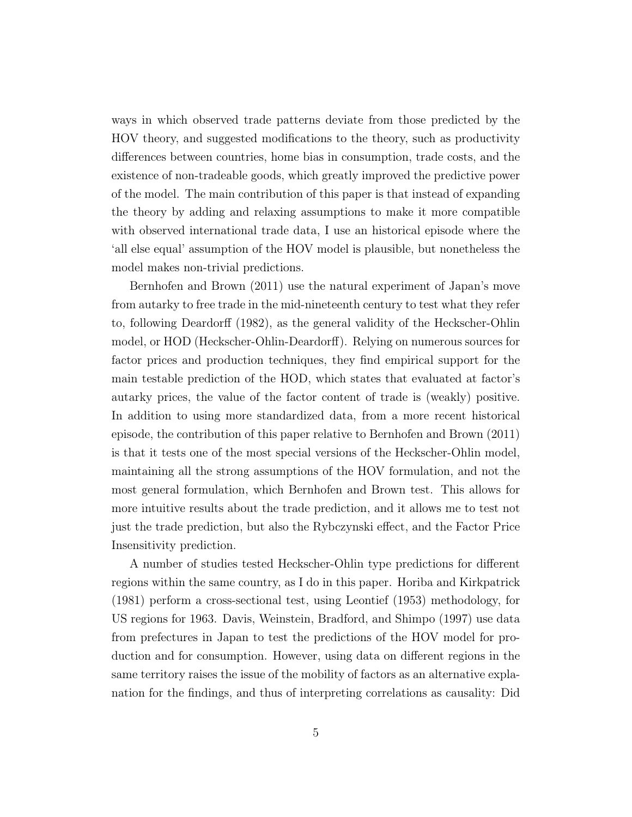ways in which observed trade patterns deviate from those predicted by the HOV theory, and suggested modifications to the theory, such as productivity differences between countries, home bias in consumption, trade costs, and the existence of non-tradeable goods, which greatly improved the predictive power of the model. The main contribution of this paper is that instead of expanding the theory by adding and relaxing assumptions to make it more compatible with observed international trade data, I use an historical episode where the 'all else equal' assumption of the HOV model is plausible, but nonetheless the model makes non-trivial predictions.

Bernhofen and Brown (2011) use the natural experiment of Japan's move from autarky to free trade in the mid-nineteenth century to test what they refer to, following Deardorff (1982), as the general validity of the Heckscher-Ohlin model, or HOD (Heckscher-Ohlin-Deardorff). Relying on numerous sources for factor prices and production techniques, they find empirical support for the main testable prediction of the HOD, which states that evaluated at factor's autarky prices, the value of the factor content of trade is (weakly) positive. In addition to using more standardized data, from a more recent historical episode, the contribution of this paper relative to Bernhofen and Brown (2011) is that it tests one of the most special versions of the Heckscher-Ohlin model, maintaining all the strong assumptions of the HOV formulation, and not the most general formulation, which Bernhofen and Brown test. This allows for more intuitive results about the trade prediction, and it allows me to test not just the trade prediction, but also the Rybczynski effect, and the Factor Price Insensitivity prediction.

A number of studies tested Heckscher-Ohlin type predictions for different regions within the same country, as I do in this paper. Horiba and Kirkpatrick (1981) perform a cross-sectional test, using Leontief (1953) methodology, for US regions for 1963. Davis, Weinstein, Bradford, and Shimpo (1997) use data from prefectures in Japan to test the predictions of the HOV model for production and for consumption. However, using data on different regions in the same territory raises the issue of the mobility of factors as an alternative explanation for the findings, and thus of interpreting correlations as causality: Did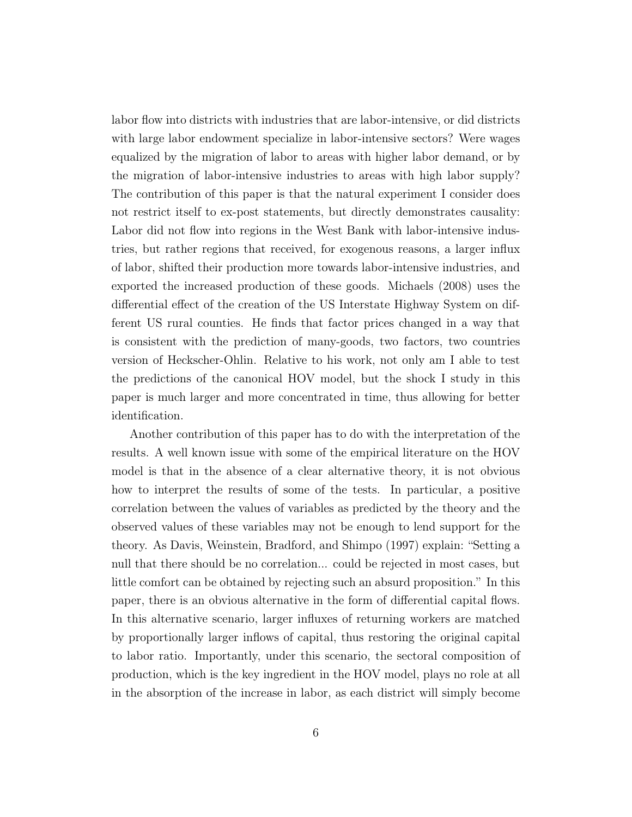labor flow into districts with industries that are labor-intensive, or did districts with large labor endowment specialize in labor-intensive sectors? Were wages equalized by the migration of labor to areas with higher labor demand, or by the migration of labor-intensive industries to areas with high labor supply? The contribution of this paper is that the natural experiment I consider does not restrict itself to ex-post statements, but directly demonstrates causality: Labor did not flow into regions in the West Bank with labor-intensive industries, but rather regions that received, for exogenous reasons, a larger influx of labor, shifted their production more towards labor-intensive industries, and exported the increased production of these goods. Michaels (2008) uses the differential effect of the creation of the US Interstate Highway System on different US rural counties. He finds that factor prices changed in a way that is consistent with the prediction of many-goods, two factors, two countries version of Heckscher-Ohlin. Relative to his work, not only am I able to test the predictions of the canonical HOV model, but the shock I study in this paper is much larger and more concentrated in time, thus allowing for better identification.

Another contribution of this paper has to do with the interpretation of the results. A well known issue with some of the empirical literature on the HOV model is that in the absence of a clear alternative theory, it is not obvious how to interpret the results of some of the tests. In particular, a positive correlation between the values of variables as predicted by the theory and the observed values of these variables may not be enough to lend support for the theory. As Davis, Weinstein, Bradford, and Shimpo (1997) explain: "Setting a null that there should be no correlation... could be rejected in most cases, but little comfort can be obtained by rejecting such an absurd proposition." In this paper, there is an obvious alternative in the form of differential capital flows. In this alternative scenario, larger influxes of returning workers are matched by proportionally larger inflows of capital, thus restoring the original capital to labor ratio. Importantly, under this scenario, the sectoral composition of production, which is the key ingredient in the HOV model, plays no role at all in the absorption of the increase in labor, as each district will simply become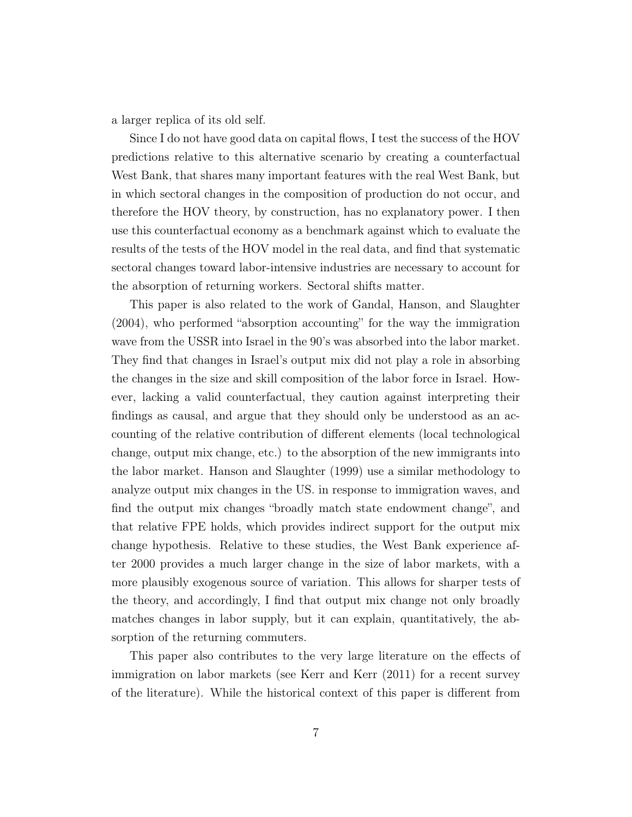a larger replica of its old self.

Since I do not have good data on capital flows, I test the success of the HOV predictions relative to this alternative scenario by creating a counterfactual West Bank, that shares many important features with the real West Bank, but in which sectoral changes in the composition of production do not occur, and therefore the HOV theory, by construction, has no explanatory power. I then use this counterfactual economy as a benchmark against which to evaluate the results of the tests of the HOV model in the real data, and find that systematic sectoral changes toward labor-intensive industries are necessary to account for the absorption of returning workers. Sectoral shifts matter.

This paper is also related to the work of Gandal, Hanson, and Slaughter (2004), who performed "absorption accounting" for the way the immigration wave from the USSR into Israel in the 90's was absorbed into the labor market. They find that changes in Israel's output mix did not play a role in absorbing the changes in the size and skill composition of the labor force in Israel. However, lacking a valid counterfactual, they caution against interpreting their findings as causal, and argue that they should only be understood as an accounting of the relative contribution of different elements (local technological change, output mix change, etc.) to the absorption of the new immigrants into the labor market. Hanson and Slaughter (1999) use a similar methodology to analyze output mix changes in the US. in response to immigration waves, and find the output mix changes "broadly match state endowment change", and that relative FPE holds, which provides indirect support for the output mix change hypothesis. Relative to these studies, the West Bank experience after 2000 provides a much larger change in the size of labor markets, with a more plausibly exogenous source of variation. This allows for sharper tests of the theory, and accordingly, I find that output mix change not only broadly matches changes in labor supply, but it can explain, quantitatively, the absorption of the returning commuters.

This paper also contributes to the very large literature on the effects of immigration on labor markets (see Kerr and Kerr (2011) for a recent survey of the literature). While the historical context of this paper is different from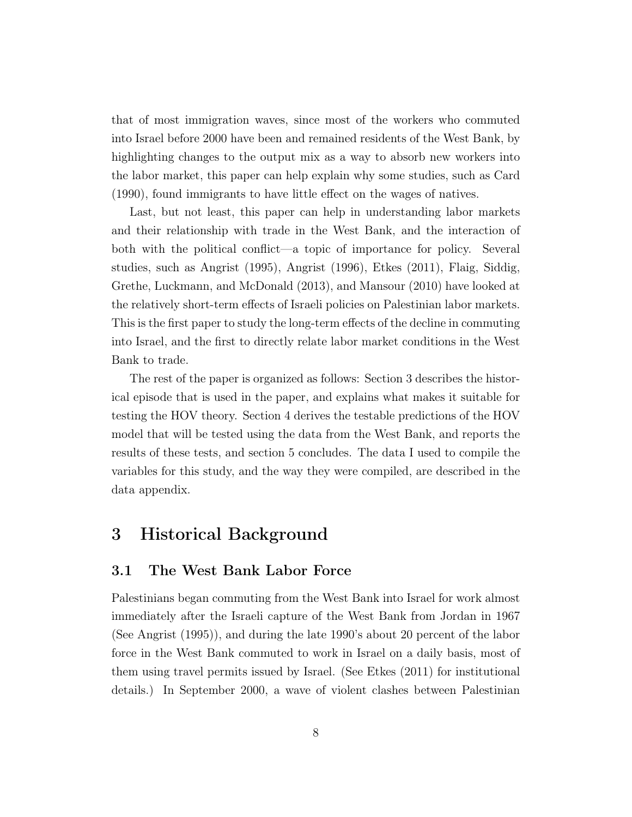that of most immigration waves, since most of the workers who commuted into Israel before 2000 have been and remained residents of the West Bank, by highlighting changes to the output mix as a way to absorb new workers into the labor market, this paper can help explain why some studies, such as Card (1990), found immigrants to have little effect on the wages of natives.

Last, but not least, this paper can help in understanding labor markets and their relationship with trade in the West Bank, and the interaction of both with the political conflict—a topic of importance for policy. Several studies, such as Angrist (1995), Angrist (1996), Etkes (2011), Flaig, Siddig, Grethe, Luckmann, and McDonald (2013), and Mansour (2010) have looked at the relatively short-term effects of Israeli policies on Palestinian labor markets. This is the first paper to study the long-term effects of the decline in commuting into Israel, and the first to directly relate labor market conditions in the West Bank to trade.

The rest of the paper is organized as follows: Section 3 describes the historical episode that is used in the paper, and explains what makes it suitable for testing the HOV theory. Section 4 derives the testable predictions of the HOV model that will be tested using the data from the West Bank, and reports the results of these tests, and section 5 concludes. The data I used to compile the variables for this study, and the way they were compiled, are described in the data appendix.

## 3 Historical Background

#### 3.1 The West Bank Labor Force

Palestinians began commuting from the West Bank into Israel for work almost immediately after the Israeli capture of the West Bank from Jordan in 1967 (See Angrist (1995)), and during the late 1990's about 20 percent of the labor force in the West Bank commuted to work in Israel on a daily basis, most of them using travel permits issued by Israel. (See Etkes (2011) for institutional details.) In September 2000, a wave of violent clashes between Palestinian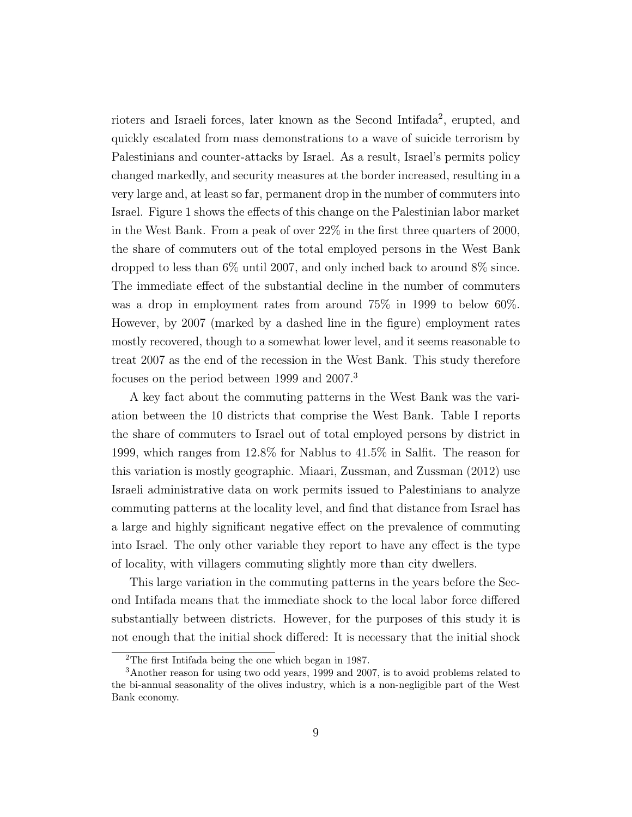rioters and Israeli forces, later known as the Second Intifada<sup>2</sup>, erupted, and quickly escalated from mass demonstrations to a wave of suicide terrorism by Palestinians and counter-attacks by Israel. As a result, Israel's permits policy changed markedly, and security measures at the border increased, resulting in a very large and, at least so far, permanent drop in the number of commuters into Israel. Figure 1 shows the effects of this change on the Palestinian labor market in the West Bank. From a peak of over 22% in the first three quarters of 2000, the share of commuters out of the total employed persons in the West Bank dropped to less than 6% until 2007, and only inched back to around 8% since. The immediate effect of the substantial decline in the number of commuters was a drop in employment rates from around 75% in 1999 to below 60%. However, by 2007 (marked by a dashed line in the figure) employment rates mostly recovered, though to a somewhat lower level, and it seems reasonable to treat 2007 as the end of the recession in the West Bank. This study therefore focuses on the period between 1999 and 2007.<sup>3</sup>

A key fact about the commuting patterns in the West Bank was the variation between the 10 districts that comprise the West Bank. Table I reports the share of commuters to Israel out of total employed persons by district in 1999, which ranges from 12.8% for Nablus to 41.5% in Salfit. The reason for this variation is mostly geographic. Miaari, Zussman, and Zussman (2012) use Israeli administrative data on work permits issued to Palestinians to analyze commuting patterns at the locality level, and find that distance from Israel has a large and highly significant negative effect on the prevalence of commuting into Israel. The only other variable they report to have any effect is the type of locality, with villagers commuting slightly more than city dwellers.

This large variation in the commuting patterns in the years before the Second Intifada means that the immediate shock to the local labor force differed substantially between districts. However, for the purposes of this study it is not enough that the initial shock differed: It is necessary that the initial shock

<sup>2</sup>The first Intifada being the one which began in 1987.

<sup>3</sup>Another reason for using two odd years, 1999 and 2007, is to avoid problems related to the bi-annual seasonality of the olives industry, which is a non-negligible part of the West Bank economy.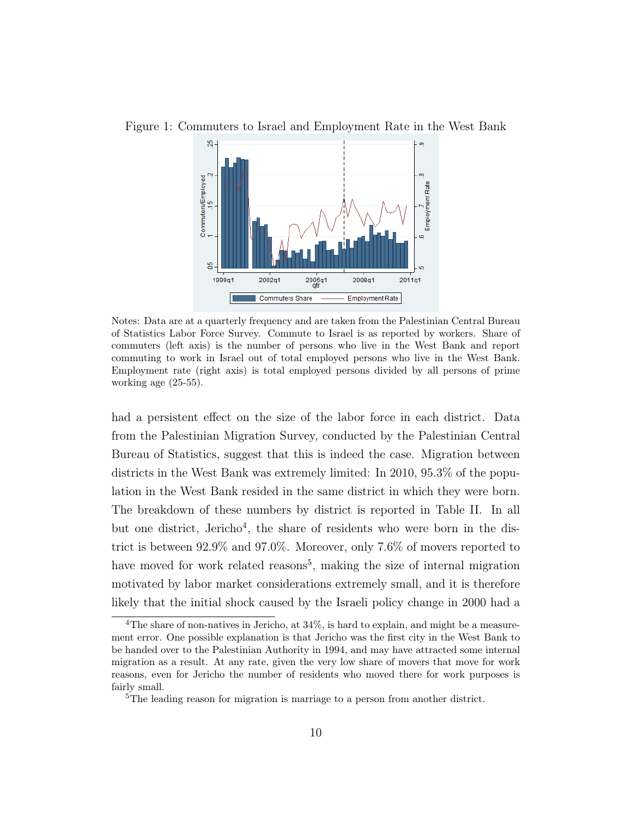

Figure 1: Commuters to Israel and Employment Rate in the West Bank

Notes: Data are at a quarterly frequency and are taken from the Palestinian Central Bureau of Statistics Labor Force Survey. Commute to Israel is as reported by workers. Share of commuters (left axis) is the number of persons who live in the West Bank and report commuting to work in Israel out of total employed persons who live in the West Bank. Employment rate (right axis) is total employed persons divided by all persons of prime working age (25-55).

had a persistent effect on the size of the labor force in each district. Data from the Palestinian Migration Survey, conducted by the Palestinian Central Bureau of Statistics, suggest that this is indeed the case. Migration between districts in the West Bank was extremely limited: In 2010, 95.3% of the population in the West Bank resided in the same district in which they were born. The breakdown of these numbers by district is reported in Table II. In all but one district, Jericho<sup>4</sup>, the share of residents who were born in the district is between 92.9% and 97.0%. Moreover, only 7.6% of movers reported to have moved for work related reasons<sup>5</sup>, making the size of internal migration motivated by labor market considerations extremely small, and it is therefore likely that the initial shock caused by the Israeli policy change in 2000 had a

<sup>&</sup>lt;sup>4</sup>The share of non-natives in Jericho, at  $34\%$ , is hard to explain, and might be a measurement error. One possible explanation is that Jericho was the first city in the West Bank to be handed over to the Palestinian Authority in 1994, and may have attracted some internal migration as a result. At any rate, given the very low share of movers that move for work reasons, even for Jericho the number of residents who moved there for work purposes is fairly small.

<sup>&</sup>lt;sup>5</sup>The leading reason for migration is marriage to a person from another district.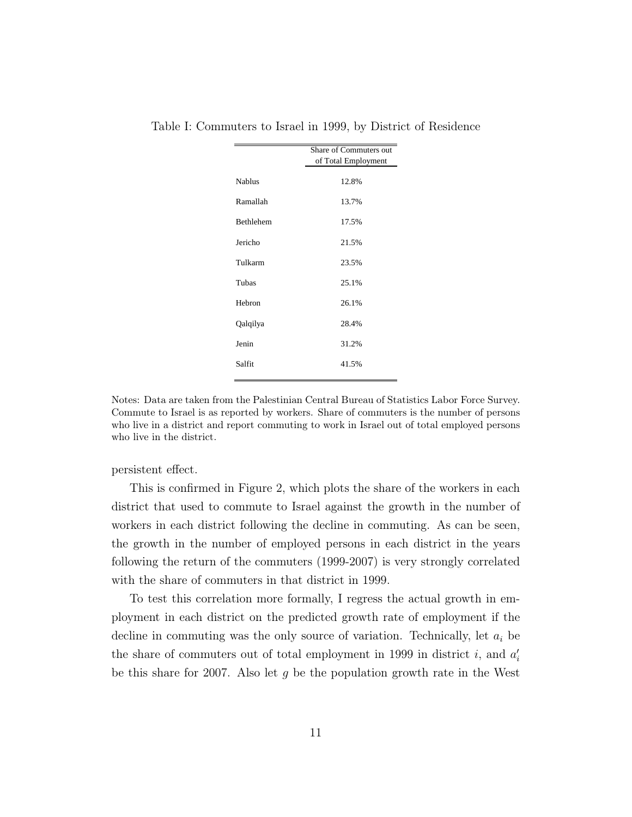|                  | Share of Commuters out<br>of Total Employment |
|------------------|-----------------------------------------------|
| <b>Nablus</b>    | 12.8%                                         |
| Ramallah         | 13.7%                                         |
| <b>Bethlehem</b> | 17.5%                                         |
| Jericho          | 21.5%                                         |
| Tulkarm          | 23.5%                                         |
| Tubas            | 25.1%                                         |
| Hebron           | 26.1%                                         |
| Qalqilya         | 28.4%                                         |
| Jenin            | 31.2%                                         |
| Salfit           | 41.5%                                         |
|                  |                                               |

Table I: Commuters to Israel in 1999, by District of Residence

Notes: Data are taken from the Palestinian Central Bureau of Statistics Labor Force Survey. Commute to Israel is as reported by workers. Share of commuters is the number of persons who live in a district and report commuting to work in Israel out of total employed persons who live in the district.

persistent effect.

This is confirmed in Figure 2, which plots the share of the workers in each district that used to commute to Israel against the growth in the number of workers in each district following the decline in commuting. As can be seen, the growth in the number of employed persons in each district in the years following the return of the commuters (1999-2007) is very strongly correlated with the share of commuters in that district in 1999.

To test this correlation more formally, I regress the actual growth in employment in each district on the predicted growth rate of employment if the decline in commuting was the only source of variation. Technically, let  $a_i$  be the share of commuters out of total employment in 1999 in district  $i$ , and  $a'_{i}$ be this share for 2007. Also let  $g$  be the population growth rate in the West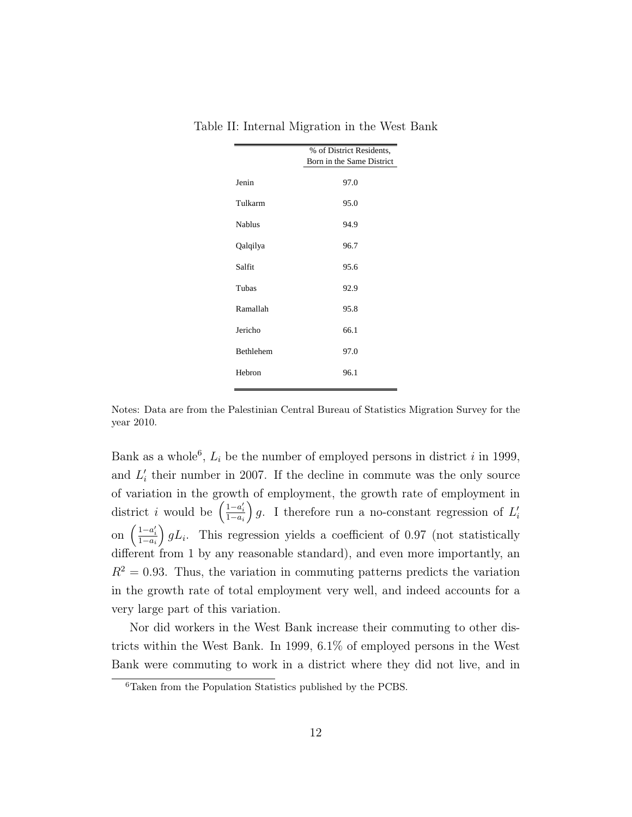|               | % of District Residents,<br>Born in the Same District |
|---------------|-------------------------------------------------------|
| Jenin         | 97.0                                                  |
| Tulkarm       | 95.0                                                  |
| <b>Nablus</b> | 94.9                                                  |
| Qalqilya      | 96.7                                                  |
| Salfit        | 95.6                                                  |
| Tubas         | 92.9                                                  |
| Ramallah      | 95.8                                                  |
| Jericho       | 66.1                                                  |
| Bethlehem     | 97.0                                                  |
| Hebron        | 96.1                                                  |
|               |                                                       |

Table II: Internal Migration in the West Bank

Notes: Data are from the Palestinian Central Bureau of Statistics Migration Survey for the year 2010.

Bank as a whole<sup>6</sup>,  $L_i$  be the number of employed persons in district i in 1999, and  $L_i'$  their number in 2007. If the decline in commute was the only source of variation in the growth of employment, the growth rate of employment in district *i* would be  $\left(\frac{1-a'_i}{1-a_i}\right)$ ) g. I therefore run a no-constant regression of  $L_i'$ on  $\left(\frac{1-a'_i}{1-a_i}\right)$  $\int gL_i$ . This regression yields a coefficient of 0.97 (not statistically different from 1 by any reasonable standard), and even more importantly, an  $R^2 = 0.93$ . Thus, the variation in commuting patterns predicts the variation in the growth rate of total employment very well, and indeed accounts for a very large part of this variation.

Nor did workers in the West Bank increase their commuting to other districts within the West Bank. In 1999, 6.1% of employed persons in the West Bank were commuting to work in a district where they did not live, and in

<sup>6</sup>Taken from the Population Statistics published by the PCBS.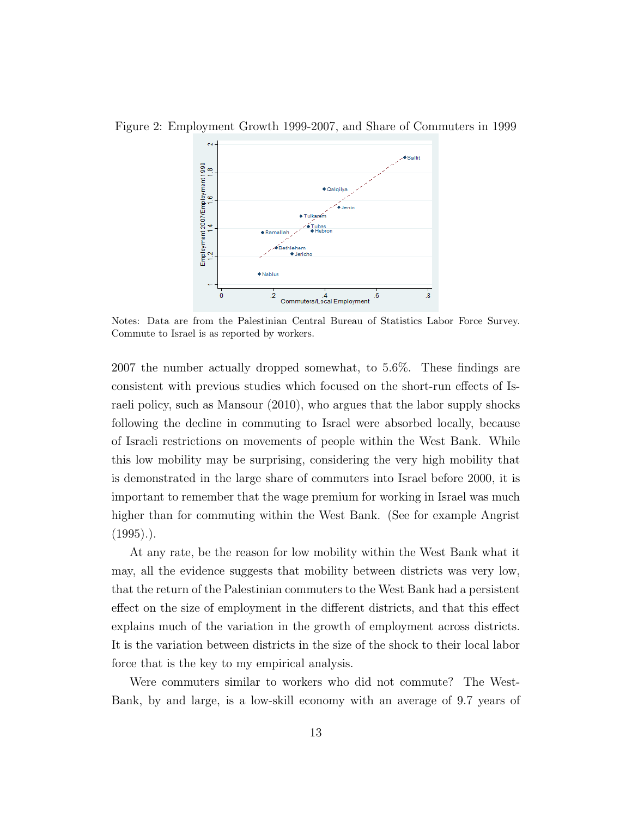

Figure 2: Employment Growth 1999-2007, and Share of Commuters in 1999

Notes: Data are from the Palestinian Central Bureau of Statistics Labor Force Survey. Commute to Israel is as reported by workers.

2007 the number actually dropped somewhat, to 5.6%. These findings are consistent with previous studies which focused on the short-run effects of Israeli policy, such as Mansour (2010), who argues that the labor supply shocks following the decline in commuting to Israel were absorbed locally, because of Israeli restrictions on movements of people within the West Bank. While this low mobility may be surprising, considering the very high mobility that is demonstrated in the large share of commuters into Israel before 2000, it is important to remember that the wage premium for working in Israel was much higher than for commuting within the West Bank. (See for example Angrist  $(1995).$ 

At any rate, be the reason for low mobility within the West Bank what it may, all the evidence suggests that mobility between districts was very low, that the return of the Palestinian commuters to the West Bank had a persistent effect on the size of employment in the different districts, and that this effect explains much of the variation in the growth of employment across districts. It is the variation between districts in the size of the shock to their local labor force that is the key to my empirical analysis.

Were commuters similar to workers who did not commute? The West-Bank, by and large, is a low-skill economy with an average of 9.7 years of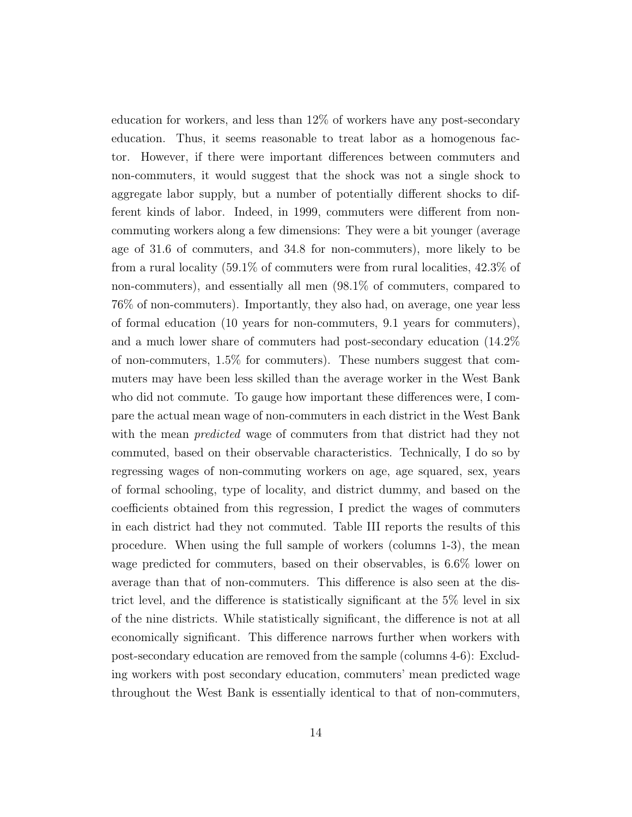education for workers, and less than 12% of workers have any post-secondary education. Thus, it seems reasonable to treat labor as a homogenous factor. However, if there were important differences between commuters and non-commuters, it would suggest that the shock was not a single shock to aggregate labor supply, but a number of potentially different shocks to different kinds of labor. Indeed, in 1999, commuters were different from noncommuting workers along a few dimensions: They were a bit younger (average age of 31.6 of commuters, and 34.8 for non-commuters), more likely to be from a rural locality (59.1% of commuters were from rural localities, 42.3% of non-commuters), and essentially all men (98.1% of commuters, compared to 76% of non-commuters). Importantly, they also had, on average, one year less of formal education (10 years for non-commuters, 9.1 years for commuters), and a much lower share of commuters had post-secondary education (14.2% of non-commuters, 1.5% for commuters). These numbers suggest that commuters may have been less skilled than the average worker in the West Bank who did not commute. To gauge how important these differences were, I compare the actual mean wage of non-commuters in each district in the West Bank with the mean *predicted* wage of commuters from that district had they not commuted, based on their observable characteristics. Technically, I do so by regressing wages of non-commuting workers on age, age squared, sex, years of formal schooling, type of locality, and district dummy, and based on the coefficients obtained from this regression, I predict the wages of commuters in each district had they not commuted. Table III reports the results of this procedure. When using the full sample of workers (columns 1-3), the mean wage predicted for commuters, based on their observables, is 6.6% lower on average than that of non-commuters. This difference is also seen at the district level, and the difference is statistically significant at the 5% level in six of the nine districts. While statistically significant, the difference is not at all economically significant. This difference narrows further when workers with post-secondary education are removed from the sample (columns 4-6): Excluding workers with post secondary education, commuters' mean predicted wage throughout the West Bank is essentially identical to that of non-commuters,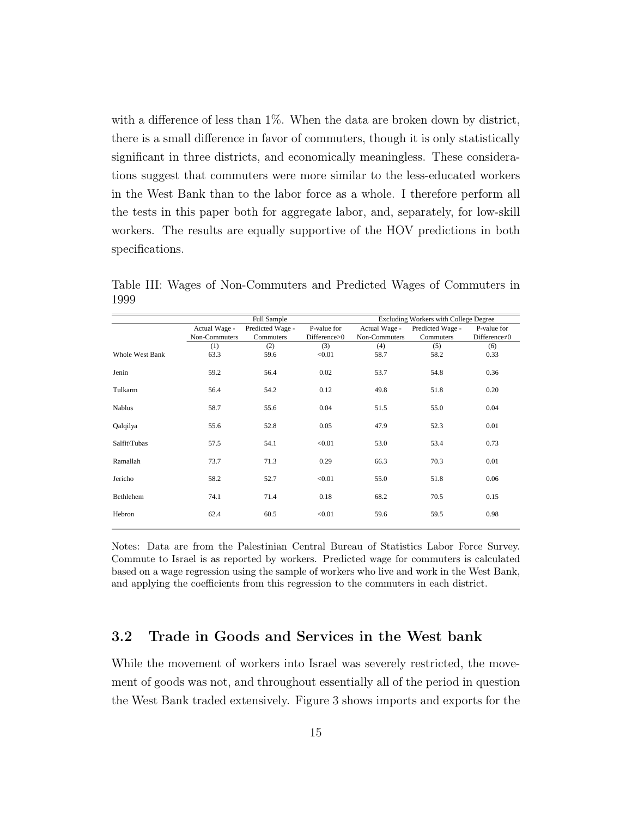with a difference of less than 1%. When the data are broken down by district, there is a small difference in favor of commuters, though it is only statistically significant in three districts, and economically meaningless. These considerations suggest that commuters were more similar to the less-educated workers in the West Bank than to the labor force as a whole. I therefore perform all the tests in this paper both for aggregate labor, and, separately, for low-skill workers. The results are equally supportive of the HOV predictions in both specifications.

Table III: Wages of Non-Commuters and Predicted Wages of Commuters in 1999

|                        | Full Sample   |                  |              | Excluding Workers with College Degree |                  |              |
|------------------------|---------------|------------------|--------------|---------------------------------------|------------------|--------------|
|                        | Actual Wage - | Predicted Wage - | P-value for  | Actual Wage -                         | Predicted Wage - | P-value for  |
|                        | Non-Commuters | Commuters        | Difference>0 | Non-Commuters                         | Commuters        | Difference≠0 |
|                        | (1)           | (2)              | (3)          | (4)                                   | (5)              | (6)          |
| <b>Whole West Bank</b> | 63.3          | 59.6             | < 0.01       | 58.7                                  | 58.2             | 0.33         |
| Jenin                  | 59.2          | 56.4             | 0.02         | 53.7                                  | 54.8             | 0.36         |
| Tulkarm                | 56.4          | 54.2             | 0.12         | 49.8                                  | 51.8             | 0.20         |
| <b>Nablus</b>          | 58.7          | 55.6             | 0.04         | 51.5                                  | 55.0             | 0.04         |
| Qalqilya               | 55.6          | 52.8             | 0.05         | 47.9                                  | 52.3             | 0.01         |
| Salfit\Tubas           | 57.5          | 54.1             | < 0.01       | 53.0                                  | 53.4             | 0.73         |
| Ramallah               | 73.7          | 71.3             | 0.29         | 66.3                                  | 70.3             | 0.01         |
| Jericho                | 58.2          | 52.7             | < 0.01       | 55.0                                  | 51.8             | 0.06         |
| Bethlehem              | 74.1          | 71.4             | 0.18         | 68.2                                  | 70.5             | 0.15         |
| Hebron                 | 62.4          | 60.5             | < 0.01       | 59.6                                  | 59.5             | 0.98         |
|                        |               |                  |              |                                       |                  |              |

Notes: Data are from the Palestinian Central Bureau of Statistics Labor Force Survey. Commute to Israel is as reported by workers. Predicted wage for commuters is calculated based on a wage regression using the sample of workers who live and work in the West Bank, and applying the coefficients from this regression to the commuters in each district.

#### 3.2 Trade in Goods and Services in the West bank

While the movement of workers into Israel was severely restricted, the movement of goods was not, and throughout essentially all of the period in question the West Bank traded extensively. Figure 3 shows imports and exports for the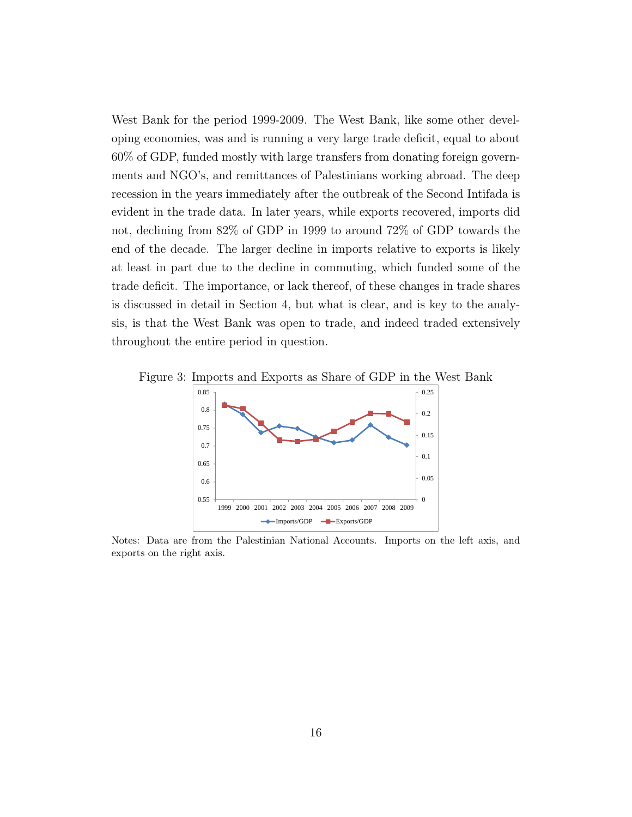West Bank for the period 1999-2009. The West Bank, like some other developing economies, was and is running a very large trade deficit, equal to about 60% of GDP, funded mostly with large transfers from donating foreign governments and NGO's, and remittances of Palestinians working abroad. The deep recession in the years immediately after the outbreak of the Second Intifada is evident in the trade data. In later years, while exports recovered, imports did not, declining from 82% of GDP in 1999 to around 72% of GDP towards the end of the decade. The larger decline in imports relative to exports is likely at least in part due to the decline in commuting, which funded some of the trade deficit. The importance, or lack thereof, of these changes in trade shares is discussed in detail in Section 4, but what is clear, and is key to the analysis, is that the West Bank was open to trade, and indeed traded extensively throughout the entire period in question.





Notes: Data are from the Palestinian National Accounts. Imports on the left axis, and exports on the right axis.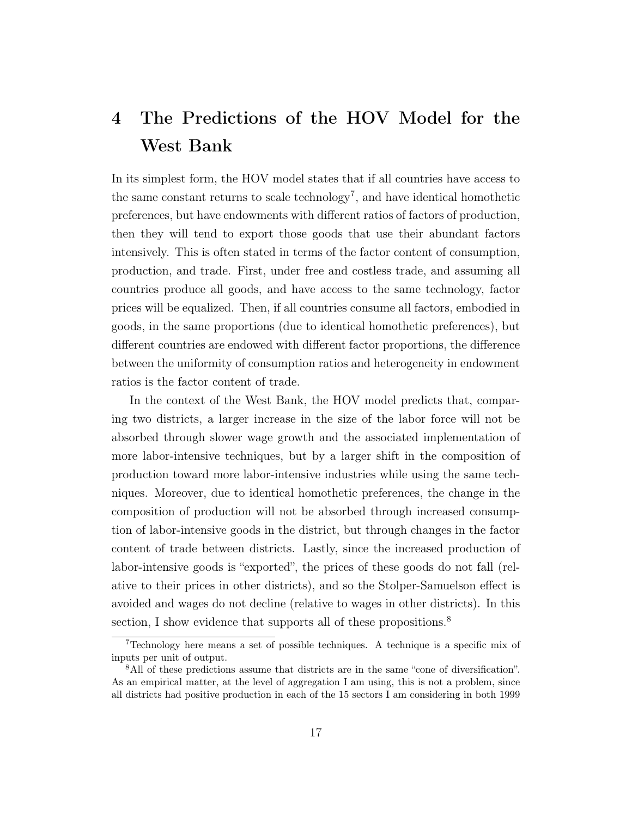## 4 The Predictions of the HOV Model for the West Bank

In its simplest form, the HOV model states that if all countries have access to the same constant returns to scale technology<sup>7</sup>, and have identical homothetic preferences, but have endowments with different ratios of factors of production, then they will tend to export those goods that use their abundant factors intensively. This is often stated in terms of the factor content of consumption, production, and trade. First, under free and costless trade, and assuming all countries produce all goods, and have access to the same technology, factor prices will be equalized. Then, if all countries consume all factors, embodied in goods, in the same proportions (due to identical homothetic preferences), but different countries are endowed with different factor proportions, the difference between the uniformity of consumption ratios and heterogeneity in endowment ratios is the factor content of trade.

In the context of the West Bank, the HOV model predicts that, comparing two districts, a larger increase in the size of the labor force will not be absorbed through slower wage growth and the associated implementation of more labor-intensive techniques, but by a larger shift in the composition of production toward more labor-intensive industries while using the same techniques. Moreover, due to identical homothetic preferences, the change in the composition of production will not be absorbed through increased consumption of labor-intensive goods in the district, but through changes in the factor content of trade between districts. Lastly, since the increased production of labor-intensive goods is "exported", the prices of these goods do not fall (relative to their prices in other districts), and so the Stolper-Samuelson effect is avoided and wages do not decline (relative to wages in other districts). In this section, I show evidence that supports all of these propositions.<sup>8</sup>

<sup>7</sup>Technology here means a set of possible techniques. A technique is a specific mix of inputs per unit of output.

<sup>8</sup>All of these predictions assume that districts are in the same "cone of diversification". As an empirical matter, at the level of aggregation I am using, this is not a problem, since all districts had positive production in each of the 15 sectors I am considering in both 1999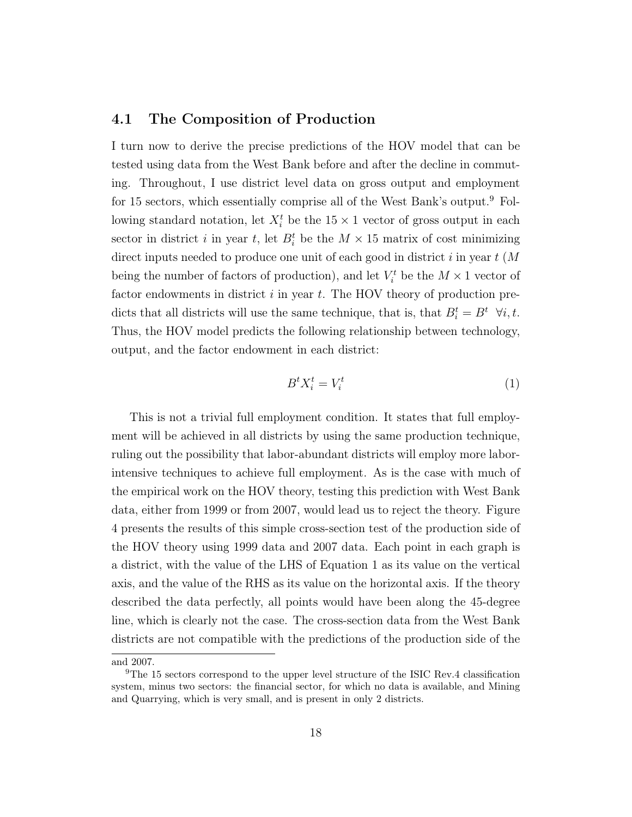#### 4.1 The Composition of Production

I turn now to derive the precise predictions of the HOV model that can be tested using data from the West Bank before and after the decline in commuting. Throughout, I use district level data on gross output and employment for 15 sectors, which essentially comprise all of the West Bank's output.<sup>9</sup> Following standard notation, let  $X_i^t$  be the  $15 \times 1$  vector of gross output in each sector in district *i* in year *t*, let  $B_i^t$  be the  $M \times 15$  matrix of cost minimizing direct inputs needed to produce one unit of each good in district i in year  $t$  (M being the number of factors of production), and let  $V_i^t$  be the  $M \times 1$  vector of factor endowments in district  $i$  in year  $t$ . The HOV theory of production predicts that all districts will use the same technique, that is, that  $B_i^t = B^t \quad \forall i, t$ . Thus, the HOV model predicts the following relationship between technology, output, and the factor endowment in each district:

$$
B^t X_i^t = V_i^t \tag{1}
$$

This is not a trivial full employment condition. It states that full employment will be achieved in all districts by using the same production technique, ruling out the possibility that labor-abundant districts will employ more laborintensive techniques to achieve full employment. As is the case with much of the empirical work on the HOV theory, testing this prediction with West Bank data, either from 1999 or from 2007, would lead us to reject the theory. Figure 4 presents the results of this simple cross-section test of the production side of the HOV theory using 1999 data and 2007 data. Each point in each graph is a district, with the value of the LHS of Equation 1 as its value on the vertical axis, and the value of the RHS as its value on the horizontal axis. If the theory described the data perfectly, all points would have been along the 45-degree line, which is clearly not the case. The cross-section data from the West Bank districts are not compatible with the predictions of the production side of the

and 2007.

<sup>&</sup>lt;sup>9</sup>The 15 sectors correspond to the upper level structure of the ISIC Rev.4 classification system, minus two sectors: the financial sector, for which no data is available, and Mining and Quarrying, which is very small, and is present in only 2 districts.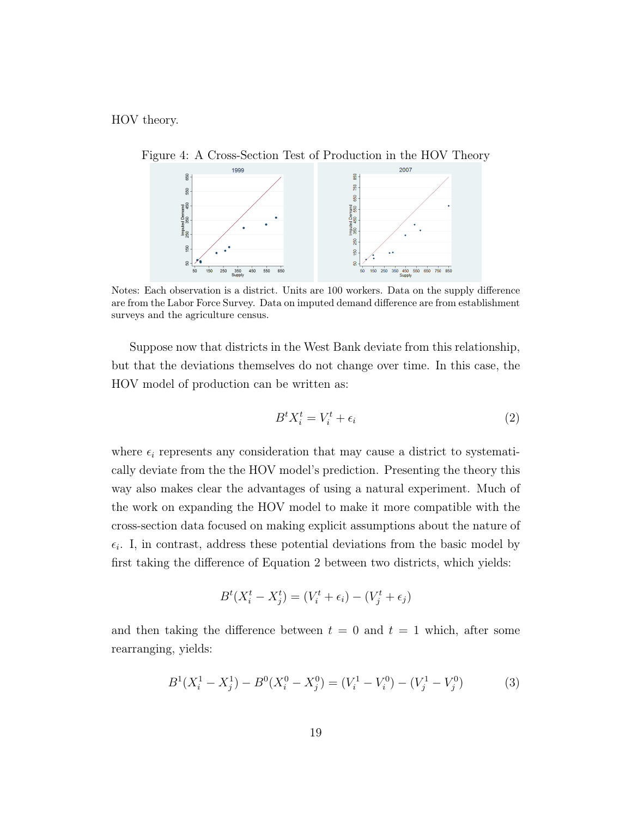HOV theory.



Figure 4: A Cross-Section Test of Production in the HOV Theory

Notes: Each observation is a district. Units are 100 workers. Data on the supply difference are from the Labor Force Survey. Data on imputed demand difference are from establishment surveys and the agriculture census.

Suppose now that districts in the West Bank deviate from this relationship, but that the deviations themselves do not change over time. In this case, the HOV model of production can be written as:

$$
B^t X_i^t = V_i^t + \epsilon_i \tag{2}
$$

where  $\epsilon_i$  represents any consideration that may cause a district to systematically deviate from the the HOV model's prediction. Presenting the theory this way also makes clear the advantages of using a natural experiment. Much of the work on expanding the HOV model to make it more compatible with the cross-section data focused on making explicit assumptions about the nature of  $\epsilon_i$ . I, in contrast, address these potential deviations from the basic model by first taking the difference of Equation 2 between two districts, which yields:

$$
Bt(Xit - Xjt) = (Vit + \epsiloni) - (Vjt + \epsilonj)
$$

and then taking the difference between  $t = 0$  and  $t = 1$  which, after some rearranging, yields:

$$
B^{1}(X_{i}^{1} - X_{j}^{1}) - B^{0}(X_{i}^{0} - X_{j}^{0}) = (V_{i}^{1} - V_{i}^{0}) - (V_{j}^{1} - V_{j}^{0})
$$
(3)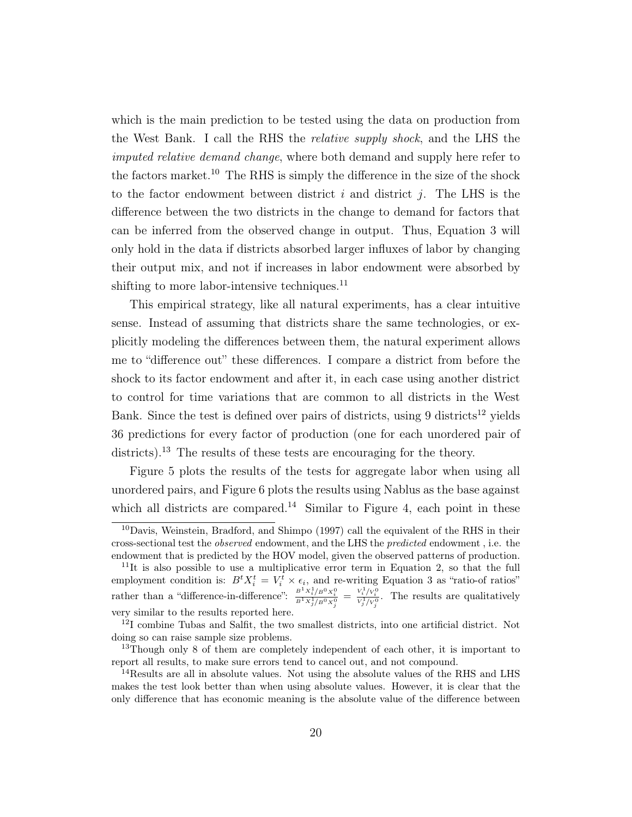which is the main prediction to be tested using the data on production from the West Bank. I call the RHS the relative supply shock, and the LHS the imputed relative demand change, where both demand and supply here refer to the factors market.<sup>10</sup> The RHS is simply the difference in the size of the shock to the factor endowment between district  $i$  and district  $j$ . The LHS is the difference between the two districts in the change to demand for factors that can be inferred from the observed change in output. Thus, Equation 3 will only hold in the data if districts absorbed larger influxes of labor by changing their output mix, and not if increases in labor endowment were absorbed by shifting to more labor-intensive techniques.<sup>11</sup>

This empirical strategy, like all natural experiments, has a clear intuitive sense. Instead of assuming that districts share the same technologies, or explicitly modeling the differences between them, the natural experiment allows me to "difference out" these differences. I compare a district from before the shock to its factor endowment and after it, in each case using another district to control for time variations that are common to all districts in the West Bank. Since the test is defined over pairs of districts, using 9 districts<sup>12</sup> yields 36 predictions for every factor of production (one for each unordered pair of districts).<sup>13</sup> The results of these tests are encouraging for the theory.

Figure 5 plots the results of the tests for aggregate labor when using all unordered pairs, and Figure 6 plots the results using Nablus as the base against which all districts are compared.<sup>14</sup> Similar to Figure 4, each point in these

<sup>10</sup>Davis, Weinstein, Bradford, and Shimpo (1997) call the equivalent of the RHS in their cross-sectional test the observed endowment, and the LHS the predicted endowment , i.e. the endowment that is predicted by the HOV model, given the observed patterns of production.

 $11$ It is also possible to use a multiplicative error term in Equation 2, so that the full employment condition is:  $B^t X_i^t = V_i^t \times \epsilon_i$ , and re-writing Equation 3 as "ratio-of ratios" rather than a "difference-in-difference":  $\frac{B^1 X_i^1/B^0 X_i^0}{B^1 X_j^1/B^0 X_j^0} = \frac{V_i^1/V_i^0}{V_j^1/V_j^0}$ . The results are qualitatively very similar to the results reported here.

 $12I$  combine Tubas and Salfit, the two smallest districts, into one artificial district. Not doing so can raise sample size problems.

<sup>&</sup>lt;sup>13</sup>Though only 8 of them are completely independent of each other, it is important to report all results, to make sure errors tend to cancel out, and not compound.

<sup>14</sup>Results are all in absolute values. Not using the absolute values of the RHS and LHS makes the test look better than when using absolute values. However, it is clear that the only difference that has economic meaning is the absolute value of the difference between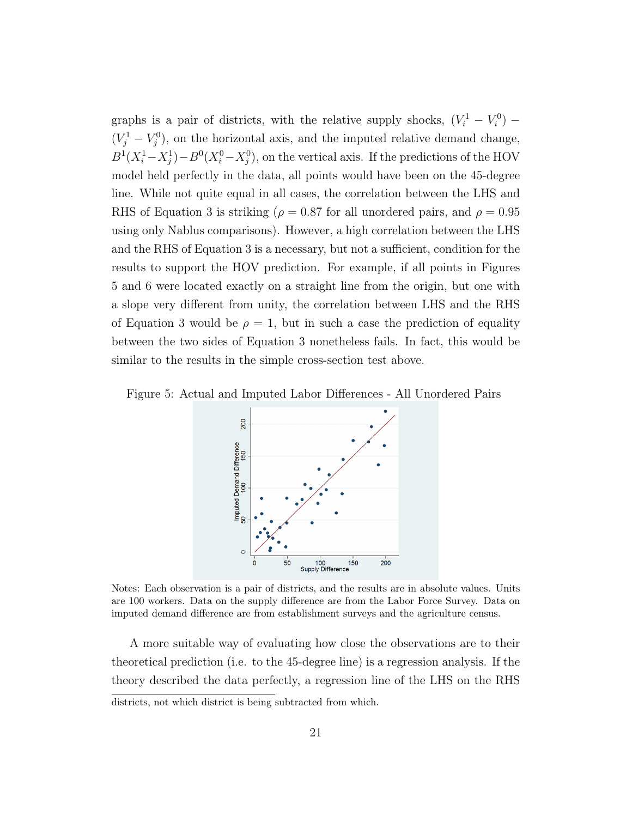graphs is a pair of districts, with the relative supply shocks,  $(V_i^1 - V_i^0)$  –  $(V_j^1 - V_j^0)$ , on the horizontal axis, and the imputed relative demand change,  $B^1(X_i^1 - X_j^1) - B^0(X_i^0 - X_j^0)$ , on the vertical axis. If the predictions of the HOV model held perfectly in the data, all points would have been on the 45-degree line. While not quite equal in all cases, the correlation between the LHS and RHS of Equation 3 is striking ( $\rho = 0.87$  for all unordered pairs, and  $\rho = 0.95$ using only Nablus comparisons). However, a high correlation between the LHS and the RHS of Equation 3 is a necessary, but not a sufficient, condition for the results to support the HOV prediction. For example, if all points in Figures 5 and 6 were located exactly on a straight line from the origin, but one with a slope very different from unity, the correlation between LHS and the RHS of Equation 3 would be  $\rho = 1$ , but in such a case the prediction of equality between the two sides of Equation 3 nonetheless fails. In fact, this would be similar to the results in the simple cross-section test above.

Figure 5: Actual and Imputed Labor Differences - All Unordered Pairs



Notes: Each observation is a pair of districts, and the results are in absolute values. Units are 100 workers. Data on the supply difference are from the Labor Force Survey. Data on imputed demand difference are from establishment surveys and the agriculture census.

A more suitable way of evaluating how close the observations are to their theoretical prediction (i.e. to the 45-degree line) is a regression analysis. If the theory described the data perfectly, a regression line of the LHS on the RHS districts, not which district is being subtracted from which.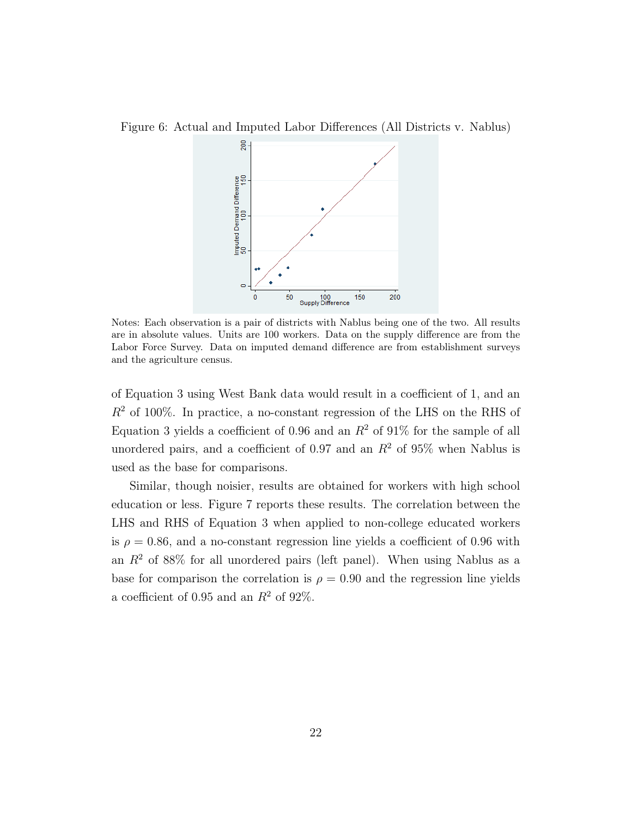Figure 6: Actual and Imputed Labor Differences (All Districts v. Nablus)



Notes: Each observation is a pair of districts with Nablus being one of the two. All results are in absolute values. Units are 100 workers. Data on the supply difference are from the Labor Force Survey. Data on imputed demand difference are from establishment surveys and the agriculture census.

of Equation 3 using West Bank data would result in a coefficient of 1, and an  $R<sup>2</sup>$  of 100%. In practice, a no-constant regression of the LHS on the RHS of Equation 3 yields a coefficient of 0.96 and an  $R^2$  of 91% for the sample of all unordered pairs, and a coefficient of 0.97 and an  $R^2$  of 95% when Nablus is used as the base for comparisons.

Similar, though noisier, results are obtained for workers with high school education or less. Figure 7 reports these results. The correlation between the LHS and RHS of Equation 3 when applied to non-college educated workers is  $\rho = 0.86$ , and a no-constant regression line yields a coefficient of 0.96 with an  $R<sup>2</sup>$  of 88% for all unordered pairs (left panel). When using Nablus as a base for comparison the correlation is  $\rho = 0.90$  and the regression line yields a coefficient of 0.95 and an  $R^2$  of 92%.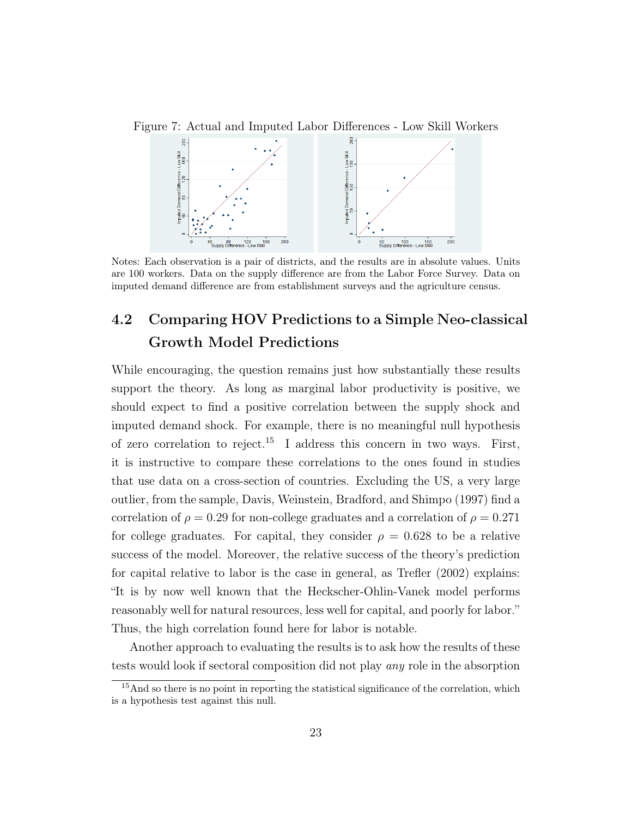Figure 7: Actual and Imputed Labor Differences - Low Skill Workers



Notes: Each observation is a pair of districts, and the results are in absolute values. Units are 100 workers. Data on the supply difference are from the Labor Force Survey. Data on imputed demand difference are from establishment surveys and the agriculture census.

## 4.2 Comparing HOV Predictions to a Simple Neo-classical Growth Model Predictions

While encouraging, the question remains just how substantially these results support the theory. As long as marginal labor productivity is positive, we should expect to find a positive correlation between the supply shock and imputed demand shock. For example, there is no meaningful null hypothesis of zero correlation to reject.<sup>15</sup> I address this concern in two ways. First, it is instructive to compare these correlations to the ones found in studies that use data on a cross-section of countries. Excluding the US, a very large outlier, from the sample, Davis, Weinstein, Bradford, and Shimpo (1997) find a correlation of  $\rho = 0.29$  for non-college graduates and a correlation of  $\rho = 0.271$ for college graduates. For capital, they consider  $\rho = 0.628$  to be a relative success of the model. Moreover, the relative success of the theory's prediction for capital relative to labor is the case in general, as Trefler (2002) explains: "It is by now well known that the Heckscher-Ohlin-Vanek model performs reasonably well for natural resources, less well for capital, and poorly for labor." Thus, the high correlation found here for labor is notable.

Another approach to evaluating the results is to ask how the results of these tests would look if sectoral composition did not play any role in the absorption

<sup>&</sup>lt;sup>15</sup>And so there is no point in reporting the statistical significance of the correlation, which is a hypothesis test against this null.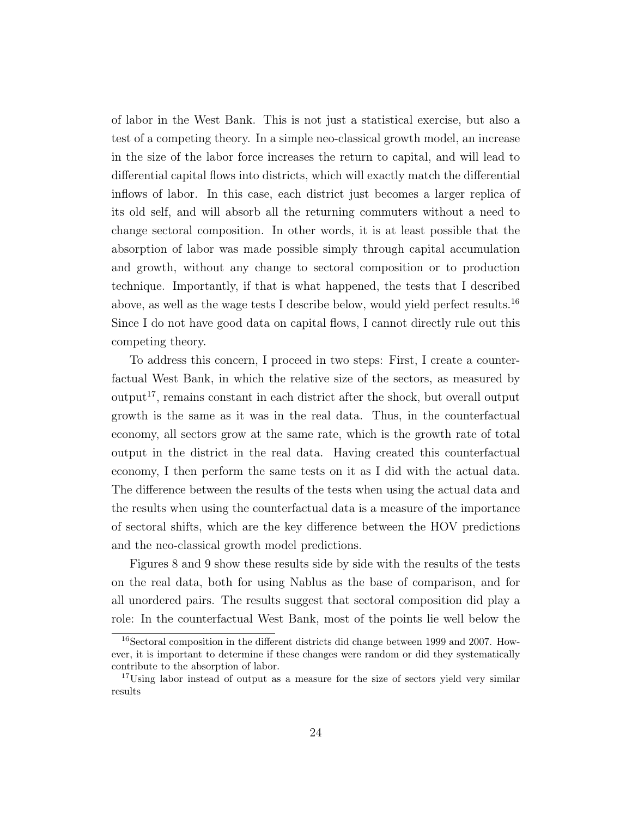of labor in the West Bank. This is not just a statistical exercise, but also a test of a competing theory. In a simple neo-classical growth model, an increase in the size of the labor force increases the return to capital, and will lead to differential capital flows into districts, which will exactly match the differential inflows of labor. In this case, each district just becomes a larger replica of its old self, and will absorb all the returning commuters without a need to change sectoral composition. In other words, it is at least possible that the absorption of labor was made possible simply through capital accumulation and growth, without any change to sectoral composition or to production technique. Importantly, if that is what happened, the tests that I described above, as well as the wage tests I describe below, would yield perfect results.<sup>16</sup> Since I do not have good data on capital flows, I cannot directly rule out this competing theory.

To address this concern, I proceed in two steps: First, I create a counterfactual West Bank, in which the relative size of the sectors, as measured by  $output^{17}$ , remains constant in each district after the shock, but overall output growth is the same as it was in the real data. Thus, in the counterfactual economy, all sectors grow at the same rate, which is the growth rate of total output in the district in the real data. Having created this counterfactual economy, I then perform the same tests on it as I did with the actual data. The difference between the results of the tests when using the actual data and the results when using the counterfactual data is a measure of the importance of sectoral shifts, which are the key difference between the HOV predictions and the neo-classical growth model predictions.

Figures 8 and 9 show these results side by side with the results of the tests on the real data, both for using Nablus as the base of comparison, and for all unordered pairs. The results suggest that sectoral composition did play a role: In the counterfactual West Bank, most of the points lie well below the

<sup>16</sup>Sectoral composition in the different districts did change between 1999 and 2007. However, it is important to determine if these changes were random or did they systematically contribute to the absorption of labor.

<sup>&</sup>lt;sup>17</sup>Using labor instead of output as a measure for the size of sectors yield very similar results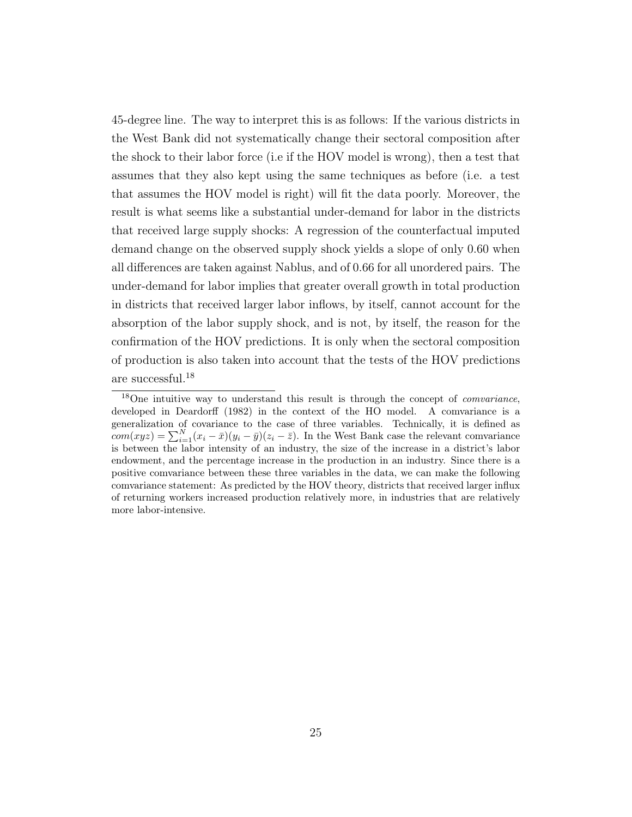45-degree line. The way to interpret this is as follows: If the various districts in the West Bank did not systematically change their sectoral composition after the shock to their labor force (i.e if the HOV model is wrong), then a test that assumes that they also kept using the same techniques as before (i.e. a test that assumes the HOV model is right) will fit the data poorly. Moreover, the result is what seems like a substantial under-demand for labor in the districts that received large supply shocks: A regression of the counterfactual imputed demand change on the observed supply shock yields a slope of only 0.60 when all differences are taken against Nablus, and of 0.66 for all unordered pairs. The under-demand for labor implies that greater overall growth in total production in districts that received larger labor inflows, by itself, cannot account for the absorption of the labor supply shock, and is not, by itself, the reason for the confirmation of the HOV predictions. It is only when the sectoral composition of production is also taken into account that the tests of the HOV predictions are successful.<sup>18</sup>

<sup>&</sup>lt;sup>18</sup>One intuitive way to understand this result is through the concept of *comvariance*, developed in Deardorff (1982) in the context of the HO model. A comvariance is a generalization of covariance to the case of three variables. Technically, it is defined as  $\widetilde{com}(xyz) = \sum_{i=1}^{N} (x_i - \bar{x})(y_i - \bar{y})(z_i - \bar{z}).$  In the West Bank case the relevant comvariance is between the labor intensity of an industry, the size of the increase in a district's labor endowment, and the percentage increase in the production in an industry. Since there is a positive comvariance between these three variables in the data, we can make the following comvariance statement: As predicted by the HOV theory, districts that received larger influx of returning workers increased production relatively more, in industries that are relatively more labor-intensive.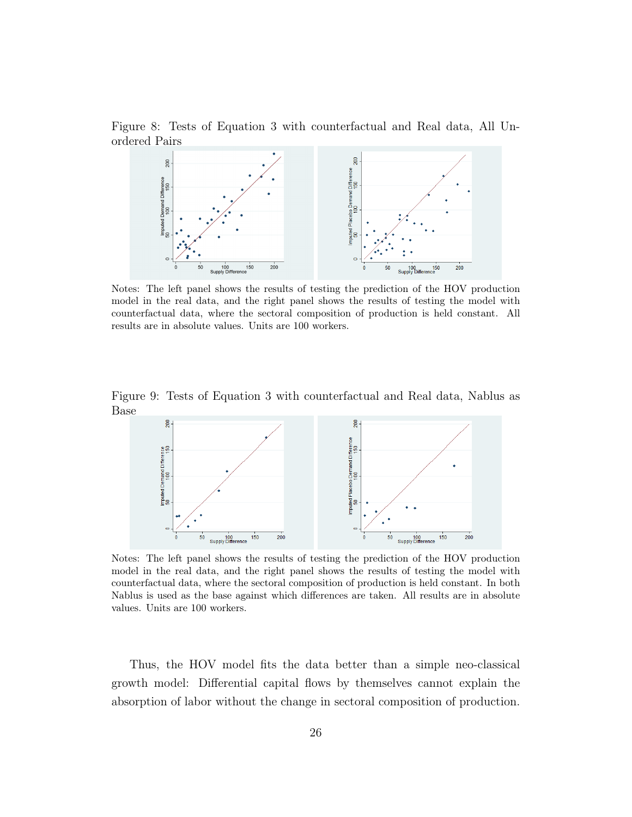Figure 8: Tests of Equation 3 with counterfactual and Real data, All Unordered Pairs



Notes: The left panel shows the results of testing the prediction of the HOV production model in the real data, and the right panel shows the results of testing the model with counterfactual data, where the sectoral composition of production is held constant. All results are in absolute values. Units are 100 workers.



ed Demand I<br>100 linput<br>50

50

100<br>Supply Difference

Figure 9: Tests of Equation 3 with counterfactual and Real data, Nablus as



 $150$ 

100<br>Supply Difference

50

 $200$ 

150

200

Thus, the HOV model fits the data better than a simple neo-classical growth model: Differential capital flows by themselves cannot explain the absorption of labor without the change in sectoral composition of production.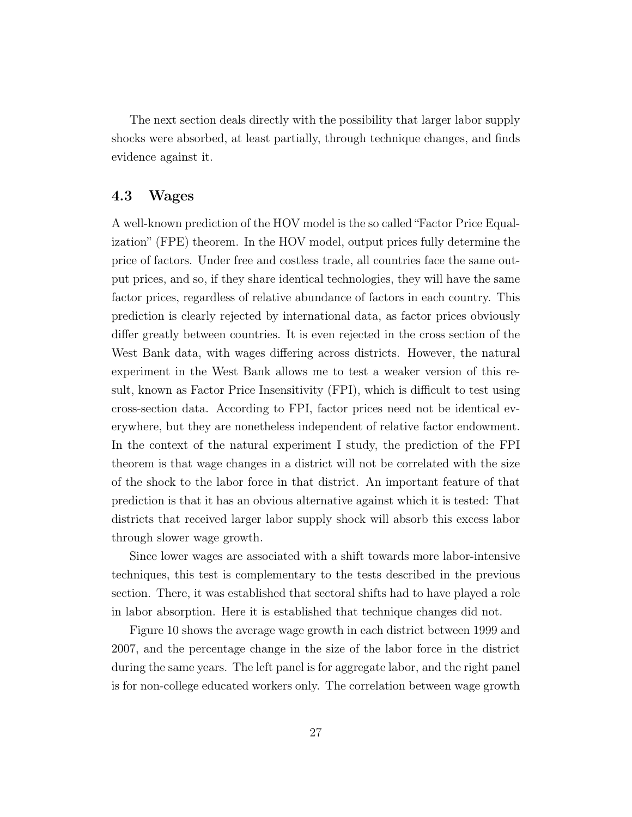The next section deals directly with the possibility that larger labor supply shocks were absorbed, at least partially, through technique changes, and finds evidence against it.

#### 4.3 Wages

A well-known prediction of the HOV model is the so called "Factor Price Equalization" (FPE) theorem. In the HOV model, output prices fully determine the price of factors. Under free and costless trade, all countries face the same output prices, and so, if they share identical technologies, they will have the same factor prices, regardless of relative abundance of factors in each country. This prediction is clearly rejected by international data, as factor prices obviously differ greatly between countries. It is even rejected in the cross section of the West Bank data, with wages differing across districts. However, the natural experiment in the West Bank allows me to test a weaker version of this result, known as Factor Price Insensitivity (FPI), which is difficult to test using cross-section data. According to FPI, factor prices need not be identical everywhere, but they are nonetheless independent of relative factor endowment. In the context of the natural experiment I study, the prediction of the FPI theorem is that wage changes in a district will not be correlated with the size of the shock to the labor force in that district. An important feature of that prediction is that it has an obvious alternative against which it is tested: That districts that received larger labor supply shock will absorb this excess labor through slower wage growth.

Since lower wages are associated with a shift towards more labor-intensive techniques, this test is complementary to the tests described in the previous section. There, it was established that sectoral shifts had to have played a role in labor absorption. Here it is established that technique changes did not.

Figure 10 shows the average wage growth in each district between 1999 and 2007, and the percentage change in the size of the labor force in the district during the same years. The left panel is for aggregate labor, and the right panel is for non-college educated workers only. The correlation between wage growth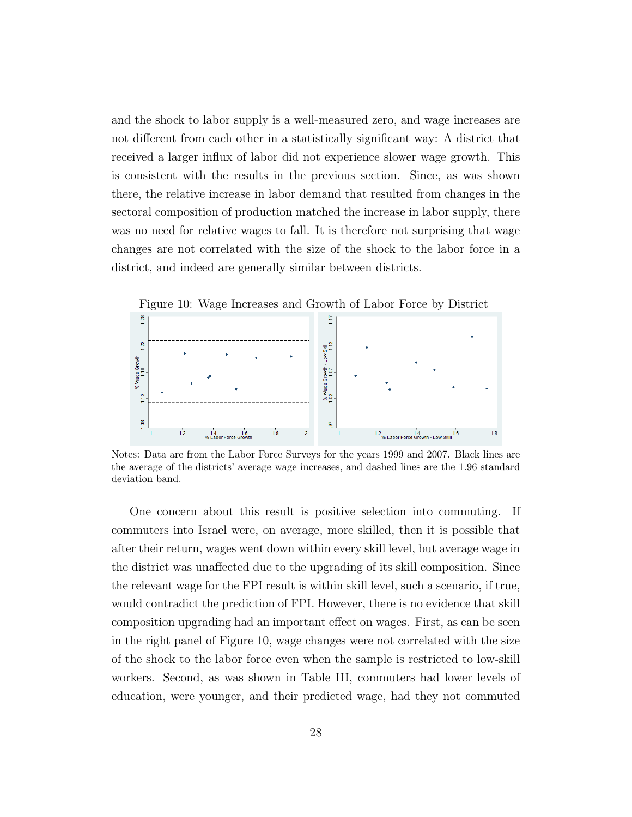and the shock to labor supply is a well-measured zero, and wage increases are not different from each other in a statistically significant way: A district that received a larger influx of labor did not experience slower wage growth. This is consistent with the results in the previous section. Since, as was shown there, the relative increase in labor demand that resulted from changes in the sectoral composition of production matched the increase in labor supply, there was no need for relative wages to fall. It is therefore not surprising that wage changes are not correlated with the size of the shock to the labor force in a district, and indeed are generally similar between districts.

Figure 10: Wage Increases and Growth of Labor Force by District



Notes: Data are from the Labor Force Surveys for the years 1999 and 2007. Black lines are the average of the districts' average wage increases, and dashed lines are the 1.96 standard deviation band.

One concern about this result is positive selection into commuting. If commuters into Israel were, on average, more skilled, then it is possible that after their return, wages went down within every skill level, but average wage in the district was unaffected due to the upgrading of its skill composition. Since the relevant wage for the FPI result is within skill level, such a scenario, if true, would contradict the prediction of FPI. However, there is no evidence that skill composition upgrading had an important effect on wages. First, as can be seen in the right panel of Figure 10, wage changes were not correlated with the size of the shock to the labor force even when the sample is restricted to low-skill workers. Second, as was shown in Table III, commuters had lower levels of education, were younger, and their predicted wage, had they not commuted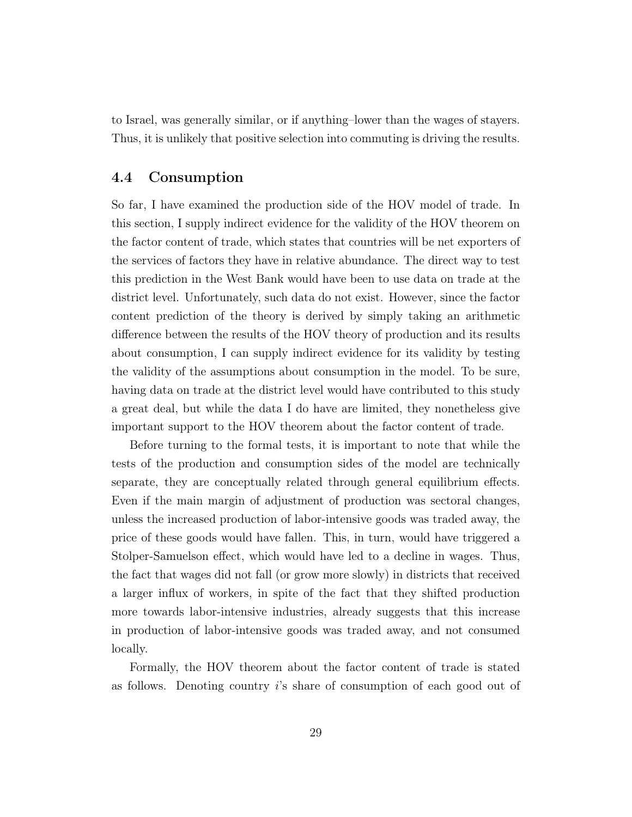to Israel, was generally similar, or if anything–lower than the wages of stayers. Thus, it is unlikely that positive selection into commuting is driving the results.

#### 4.4 Consumption

So far, I have examined the production side of the HOV model of trade. In this section, I supply indirect evidence for the validity of the HOV theorem on the factor content of trade, which states that countries will be net exporters of the services of factors they have in relative abundance. The direct way to test this prediction in the West Bank would have been to use data on trade at the district level. Unfortunately, such data do not exist. However, since the factor content prediction of the theory is derived by simply taking an arithmetic difference between the results of the HOV theory of production and its results about consumption, I can supply indirect evidence for its validity by testing the validity of the assumptions about consumption in the model. To be sure, having data on trade at the district level would have contributed to this study a great deal, but while the data I do have are limited, they nonetheless give important support to the HOV theorem about the factor content of trade.

Before turning to the formal tests, it is important to note that while the tests of the production and consumption sides of the model are technically separate, they are conceptually related through general equilibrium effects. Even if the main margin of adjustment of production was sectoral changes, unless the increased production of labor-intensive goods was traded away, the price of these goods would have fallen. This, in turn, would have triggered a Stolper-Samuelson effect, which would have led to a decline in wages. Thus, the fact that wages did not fall (or grow more slowly) in districts that received a larger influx of workers, in spite of the fact that they shifted production more towards labor-intensive industries, already suggests that this increase in production of labor-intensive goods was traded away, and not consumed locally.

Formally, the HOV theorem about the factor content of trade is stated as follows. Denoting country i's share of consumption of each good out of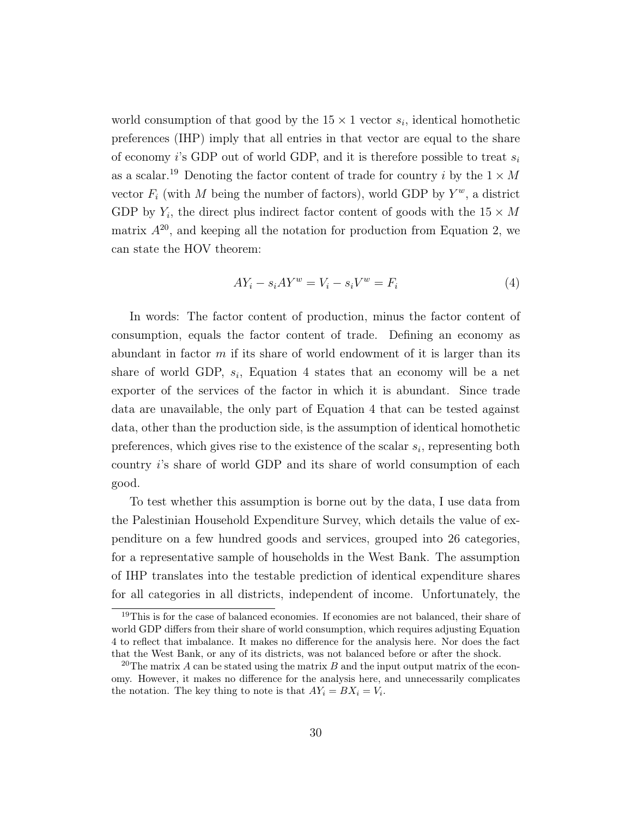world consumption of that good by the  $15 \times 1$  vector  $s_i$ , identical homothetic preferences (IHP) imply that all entries in that vector are equal to the share of economy is GDP out of world GDP, and it is therefore possible to treat  $s_i$ as a scalar.<sup>19</sup> Denoting the factor content of trade for country i by the  $1 \times M$ vector  $F_i$  (with M being the number of factors), world GDP by  $Y^w$ , a district GDP by  $Y_i$ , the direct plus indirect factor content of goods with the  $15 \times M$ matrix  $A^{20}$ , and keeping all the notation for production from Equation 2, we can state the HOV theorem:

$$
AY_i - s_iAY^w = V_i - s_iV^w = F_i \tag{4}
$$

In words: The factor content of production, minus the factor content of consumption, equals the factor content of trade. Defining an economy as abundant in factor  $m$  if its share of world endowment of it is larger than its share of world GDP,  $s_i$ , Equation 4 states that an economy will be a net exporter of the services of the factor in which it is abundant. Since trade data are unavailable, the only part of Equation 4 that can be tested against data, other than the production side, is the assumption of identical homothetic preferences, which gives rise to the existence of the scalar  $s_i$ , representing both country i's share of world GDP and its share of world consumption of each good.

To test whether this assumption is borne out by the data, I use data from the Palestinian Household Expenditure Survey, which details the value of expenditure on a few hundred goods and services, grouped into 26 categories, for a representative sample of households in the West Bank. The assumption of IHP translates into the testable prediction of identical expenditure shares for all categories in all districts, independent of income. Unfortunately, the

<sup>&</sup>lt;sup>19</sup>This is for the case of balanced economies. If economies are not balanced, their share of world GDP differs from their share of world consumption, which requires adjusting Equation 4 to reflect that imbalance. It makes no difference for the analysis here. Nor does the fact that the West Bank, or any of its districts, was not balanced before or after the shock.

<sup>&</sup>lt;sup>20</sup>The matrix A can be stated using the matrix B and the input output matrix of the economy. However, it makes no difference for the analysis here, and unnecessarily complicates the notation. The key thing to note is that  $AY_i = BX_i = V_i$ .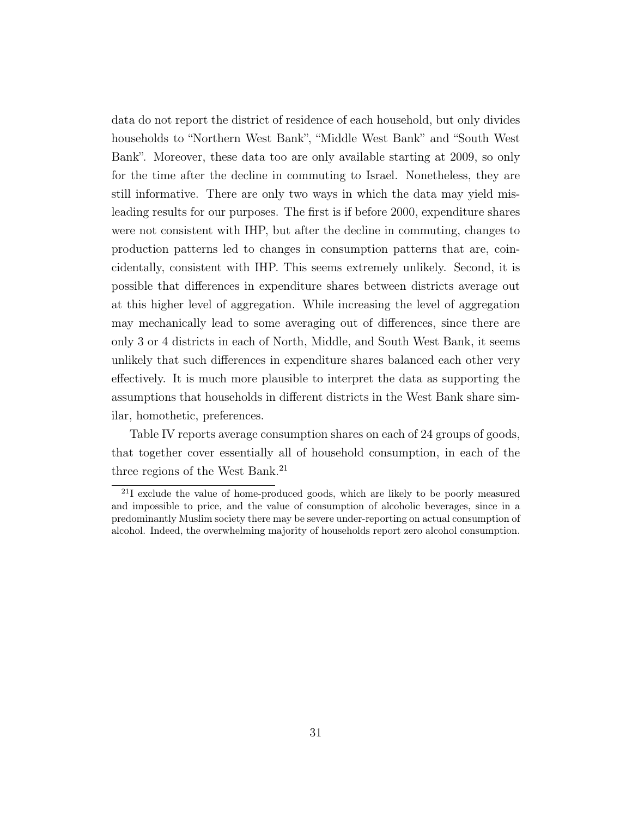data do not report the district of residence of each household, but only divides households to "Northern West Bank", "Middle West Bank" and "South West Bank". Moreover, these data too are only available starting at 2009, so only for the time after the decline in commuting to Israel. Nonetheless, they are still informative. There are only two ways in which the data may yield misleading results for our purposes. The first is if before 2000, expenditure shares were not consistent with IHP, but after the decline in commuting, changes to production patterns led to changes in consumption patterns that are, coincidentally, consistent with IHP. This seems extremely unlikely. Second, it is possible that differences in expenditure shares between districts average out at this higher level of aggregation. While increasing the level of aggregation may mechanically lead to some averaging out of differences, since there are only 3 or 4 districts in each of North, Middle, and South West Bank, it seems unlikely that such differences in expenditure shares balanced each other very effectively. It is much more plausible to interpret the data as supporting the assumptions that households in different districts in the West Bank share similar, homothetic, preferences.

Table IV reports average consumption shares on each of 24 groups of goods, that together cover essentially all of household consumption, in each of the three regions of the West Bank.<sup>21</sup>

<sup>21</sup>I exclude the value of home-produced goods, which are likely to be poorly measured and impossible to price, and the value of consumption of alcoholic beverages, since in a predominantly Muslim society there may be severe under-reporting on actual consumption of alcohol. Indeed, the overwhelming majority of households report zero alcohol consumption.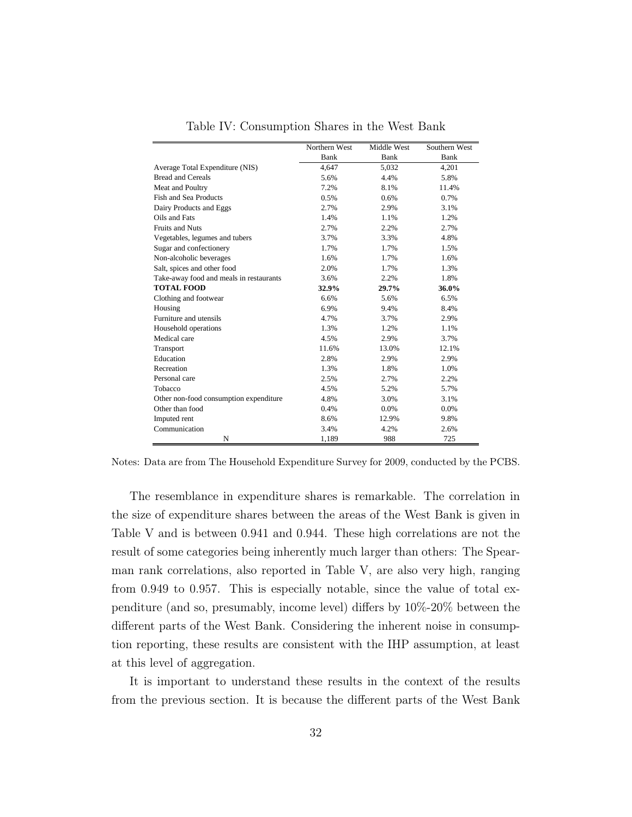|                                         | Northern West | Middle West | Southern West |
|-----------------------------------------|---------------|-------------|---------------|
|                                         | Bank          | Bank        | Bank          |
| Average Total Expenditure (NIS)         | 4,647         | 5,032       | 4,201         |
| <b>Bread and Cereals</b>                | 5.6%          | 4.4%        | 5.8%          |
| Meat and Poultry                        | 7.2%          | 8.1%        | 11.4%         |
| <b>Fish and Sea Products</b>            | 0.5%          | 0.6%        | 0.7%          |
| Dairy Products and Eggs                 | 2.7%          | 2.9%        | 3.1%          |
| Oils and Fats                           | 1.4%          | 1.1%        | 1.2%          |
| <b>Fruits and Nuts</b>                  | 2.7%          | 2.2%        | 2.7%          |
| Vegetables, legumes and tubers          | 3.7%          | 3.3%        | 4.8%          |
| Sugar and confectionery                 | 1.7%          | 1.7%        | 1.5%          |
| Non-alcoholic beverages                 | 1.6%          | 1.7%        | 1.6%          |
| Salt, spices and other food             | 2.0%          | 1.7%        | 1.3%          |
| Take-away food and meals in restaurants | 3.6%          | 2.2%        | 1.8%          |
| <b>TOTAL FOOD</b>                       | 32.9%         | 29.7%       | 36.0%         |
| Clothing and footwear                   | 6.6%          | 5.6%        | 6.5%          |
| Housing                                 | 6.9%          | 9.4%        | 8.4%          |
| Furniture and utensils                  | 4.7%          | 3.7%        | 2.9%          |
| Household operations                    | 1.3%          | 1.2%        | 1.1%          |
| Medical care                            | 4.5%          | 2.9%        | 3.7%          |
| Transport                               | 11.6%         | 13.0%       | 12.1%         |
| Education                               | 2.8%          | 2.9%        | 2.9%          |
| Recreation                              | 1.3%          | 1.8%        | 1.0%          |
| Personal care                           | 2.5%          | 2.7%        | 2.2%          |
| Tobacco                                 | 4.5%          | 5.2%        | 5.7%          |
| Other non-food consumption expenditure  | 4.8%          | 3.0%        | 3.1%          |
| Other than food                         | 0.4%          | 0.0%        | 0.0%          |
| Imputed rent                            | 8.6%          | 12.9%       | 9.8%          |
| Communication                           | 3.4%          | 4.2%        | 2.6%          |
| N                                       | 1,189         | 988         | 725           |

Table IV: Consumption Shares in the West Bank

The resemblance in expenditure shares is remarkable. The correlation in the size of expenditure shares between the areas of the West Bank is given in Table V and is between 0.941 and 0.944. These high correlations are not the result of some categories being inherently much larger than others: The Spearman rank correlations, also reported in Table V, are also very high, ranging from 0.949 to 0.957. This is especially notable, since the value of total expenditure (and so, presumably, income level) differs by 10%-20% between the different parts of the West Bank. Considering the inherent noise in consumption reporting, these results are consistent with the IHP assumption, at least at this level of aggregation.

It is important to understand these results in the context of the results from the previous section. It is because the different parts of the West Bank

Notes: Data are from The Household Expenditure Survey for 2009, conducted by the PCBS.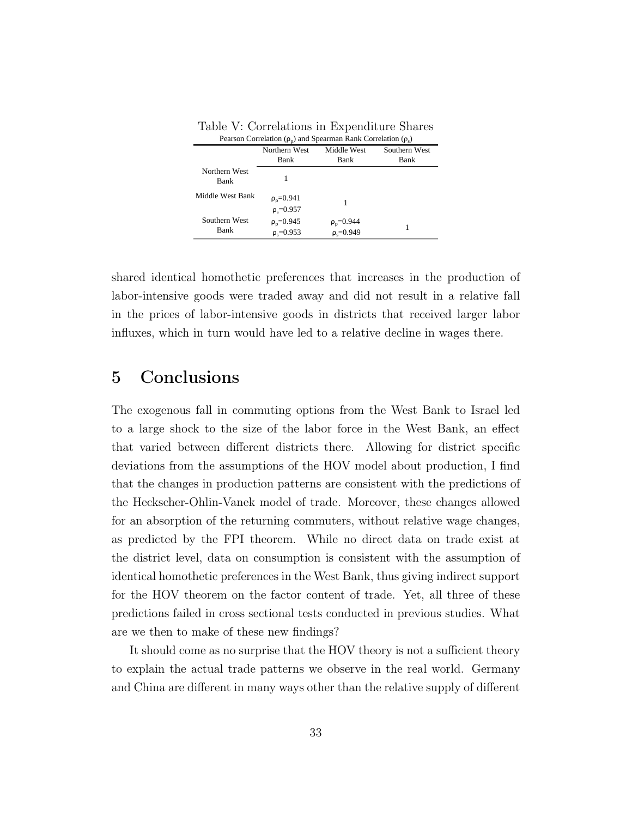| Pearson Correlation ( $\rho_n$ ) and Spearman Rank Correlation ( $\rho_s$ ) |                                          |                                      |               |  |
|-----------------------------------------------------------------------------|------------------------------------------|--------------------------------------|---------------|--|
|                                                                             | Northern West                            | Middle West                          | Southern West |  |
|                                                                             | Bank                                     | Bank                                 | Bank          |  |
| Northern West<br>Bank                                                       |                                          |                                      |               |  |
| Middle West Bank                                                            | $p_{p} = 0.941$<br>$\rho_{s} = 0.957$    |                                      |               |  |
| Southern West<br>Bank                                                       | $\rho_{p} = 0.945$<br>$\rho_{s} = 0.953$ | $\rho_p = 0.944$<br>$\rho_s = 0.949$ |               |  |

Table V: Correlations in Expenditure Shares

shared identical homothetic preferences that increases in the production of labor-intensive goods were traded away and did not result in a relative fall in the prices of labor-intensive goods in districts that received larger labor influxes, which in turn would have led to a relative decline in wages there.

## 5 Conclusions

The exogenous fall in commuting options from the West Bank to Israel led to a large shock to the size of the labor force in the West Bank, an effect that varied between different districts there. Allowing for district specific deviations from the assumptions of the HOV model about production, I find that the changes in production patterns are consistent with the predictions of the Heckscher-Ohlin-Vanek model of trade. Moreover, these changes allowed for an absorption of the returning commuters, without relative wage changes, as predicted by the FPI theorem. While no direct data on trade exist at the district level, data on consumption is consistent with the assumption of identical homothetic preferences in the West Bank, thus giving indirect support for the HOV theorem on the factor content of trade. Yet, all three of these predictions failed in cross sectional tests conducted in previous studies. What are we then to make of these new findings?

It should come as no surprise that the HOV theory is not a sufficient theory to explain the actual trade patterns we observe in the real world. Germany and China are different in many ways other than the relative supply of different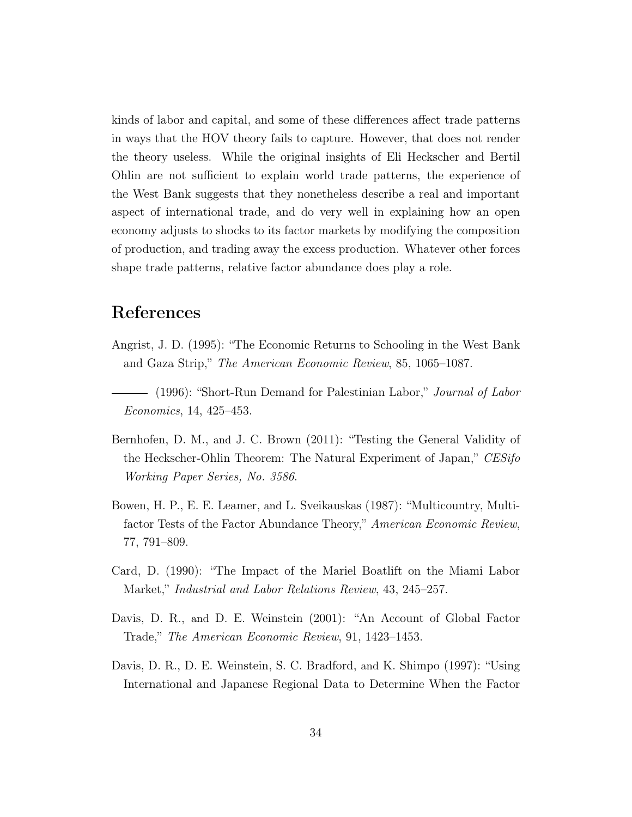kinds of labor and capital, and some of these differences affect trade patterns in ways that the HOV theory fails to capture. However, that does not render the theory useless. While the original insights of Eli Heckscher and Bertil Ohlin are not sufficient to explain world trade patterns, the experience of the West Bank suggests that they nonetheless describe a real and important aspect of international trade, and do very well in explaining how an open economy adjusts to shocks to its factor markets by modifying the composition of production, and trading away the excess production. Whatever other forces shape trade patterns, relative factor abundance does play a role.

## References

- Angrist, J. D. (1995): "The Economic Returns to Schooling in the West Bank and Gaza Strip," The American Economic Review, 85, 1065–1087.
- (1996): "Short-Run Demand for Palestinian Labor," *Journal of Labor* Economics, 14, 425–453.
- Bernhofen, D. M., and J. C. Brown (2011): "Testing the General Validity of the Heckscher-Ohlin Theorem: The Natural Experiment of Japan," CESifo Working Paper Series, No. 3586.
- Bowen, H. P., E. E. Leamer, and L. Sveikauskas (1987): "Multicountry, Multifactor Tests of the Factor Abundance Theory," American Economic Review, 77, 791–809.
- Card, D. (1990): "The Impact of the Mariel Boatlift on the Miami Labor Market," Industrial and Labor Relations Review, 43, 245–257.
- Davis, D. R., and D. E. Weinstein (2001): "An Account of Global Factor Trade," The American Economic Review, 91, 1423–1453.
- Davis, D. R., D. E. Weinstein, S. C. Bradford, and K. Shimpo (1997): "Using International and Japanese Regional Data to Determine When the Factor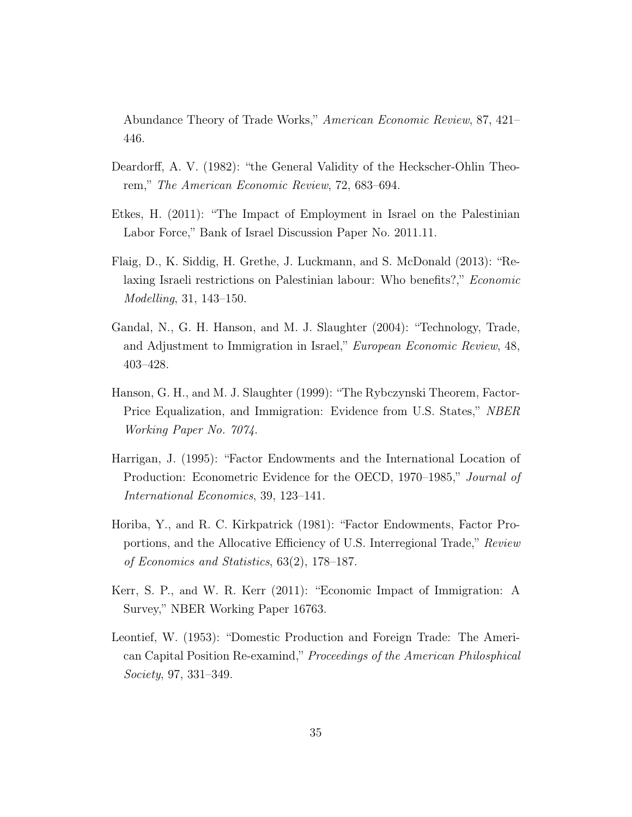Abundance Theory of Trade Works," American Economic Review, 87, 421– 446.

- Deardorff, A. V. (1982): "the General Validity of the Heckscher-Ohlin Theorem," The American Economic Review, 72, 683–694.
- Etkes, H. (2011): "The Impact of Employment in Israel on the Palestinian Labor Force," Bank of Israel Discussion Paper No. 2011.11.
- Flaig, D., K. Siddig, H. Grethe, J. Luckmann, and S. McDonald (2013): "Relaxing Israeli restrictions on Palestinian labour: Who benefits?," Economic Modelling, 31, 143–150.
- Gandal, N., G. H. Hanson, and M. J. Slaughter (2004): "Technology, Trade, and Adjustment to Immigration in Israel," European Economic Review, 48, 403–428.
- Hanson, G. H., and M. J. Slaughter (1999): "The Rybczynski Theorem, Factor-Price Equalization, and Immigration: Evidence from U.S. States," NBER Working Paper No. 7074.
- Harrigan, J. (1995): "Factor Endowments and the International Location of Production: Econometric Evidence for the OECD, 1970–1985," Journal of International Economics, 39, 123–141.
- Horiba, Y., and R. C. Kirkpatrick (1981): "Factor Endowments, Factor Proportions, and the Allocative Efficiency of U.S. Interregional Trade," Review of Economics and Statistics, 63(2), 178–187.
- Kerr, S. P., and W. R. Kerr (2011): "Economic Impact of Immigration: A Survey," NBER Working Paper 16763.
- Leontief, W. (1953): "Domestic Production and Foreign Trade: The American Capital Position Re-examind," Proceedings of the American Philosphical Society, 97, 331–349.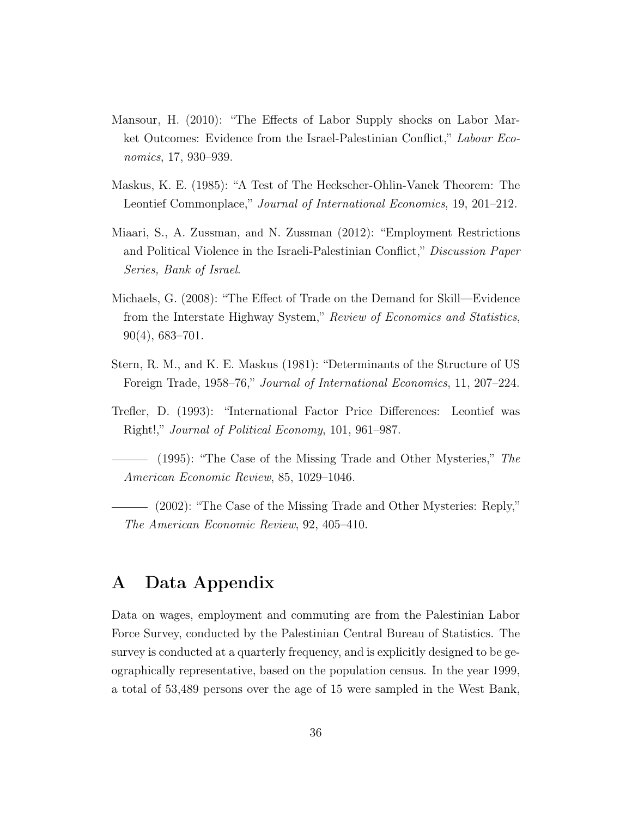- Mansour, H. (2010): "The Effects of Labor Supply shocks on Labor Market Outcomes: Evidence from the Israel-Palestinian Conflict," Labour Economics, 17, 930–939.
- Maskus, K. E. (1985): "A Test of The Heckscher-Ohlin-Vanek Theorem: The Leontief Commonplace," Journal of International Economics, 19, 201–212.
- Miaari, S., A. Zussman, and N. Zussman (2012): "Employment Restrictions and Political Violence in the Israeli-Palestinian Conflict," Discussion Paper Series, Bank of Israel.
- Michaels, G. (2008): "The Effect of Trade on the Demand for Skill—Evidence from the Interstate Highway System," Review of Economics and Statistics, 90(4), 683–701.
- Stern, R. M., and K. E. Maskus (1981): "Determinants of the Structure of US Foreign Trade, 1958–76," Journal of International Economics, 11, 207–224.
- Trefler, D. (1993): "International Factor Price Differences: Leontief was Right!," Journal of Political Economy, 101, 961–987.
- (1995): "The Case of the Missing Trade and Other Mysteries," The American Economic Review, 85, 1029–1046.
- (2002): "The Case of the Missing Trade and Other Mysteries: Reply," The American Economic Review, 92, 405–410.

## A Data Appendix

Data on wages, employment and commuting are from the Palestinian Labor Force Survey, conducted by the Palestinian Central Bureau of Statistics. The survey is conducted at a quarterly frequency, and is explicitly designed to be geographically representative, based on the population census. In the year 1999, a total of 53,489 persons over the age of 15 were sampled in the West Bank,